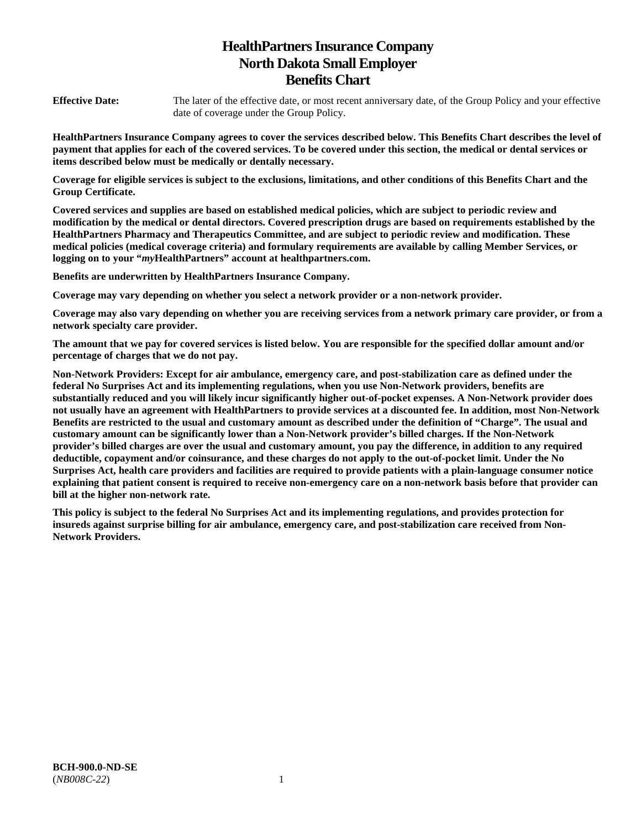# **HealthPartners Insurance Company North Dakota Small Employer Benefits Chart**

**Effective Date:** The later of the effective date, or most recent anniversary date, of the Group Policy and your effective date of coverage under the Group Policy.

**HealthPartners Insurance Company agrees to cover the services described below. This Benefits Chart describes the level of payment that applies for each of the covered services. To be covered under this section, the medical or dental services or items described below must be medically or dentally necessary.** 

**Coverage for eligible services is subject to the exclusions, limitations, and other conditions of this Benefits Chart and the Group Certificate.** 

**Covered services and supplies are based on established medical policies, which are subject to periodic review and modification by the medical or dental directors. Covered prescription drugs are based on requirements established by the HealthPartners Pharmacy and Therapeutics Committee, and are subject to periodic review and modification. These medical policies (medical coverage criteria) and formulary requirements are available by calling Member Services, or logging on to your "***my***HealthPartners" account at [healthpartners.com.](http://healthpartners.com/)** 

**Benefits are underwritten by HealthPartners Insurance Company.** 

**Coverage may vary depending on whether you select a network provider or a non-network provider.** 

**Coverage may also vary depending on whether you are receiving services from a network primary care provider, or from a network specialty care provider.**

**The amount that we pay for covered services is listed below. You are responsible for the specified dollar amount and/or percentage of charges that we do not pay.** 

**Non-Network Providers: Except for air ambulance, emergency care, and post-stabilization care as defined under the federal No Surprises Act and its implementing regulations, when you use Non-Network providers, benefits are substantially reduced and you will likely incur significantly higher out-of-pocket expenses. A Non-Network provider does not usually have an agreement with HealthPartners to provide services at a discounted fee. In addition, most Non-Network Benefits are restricted to the usual and customary amount as described under the definition of "Charge". The usual and customary amount can be significantly lower than a Non-Network provider's billed charges. If the Non-Network provider's billed charges are over the usual and customary amount, you pay the difference, in addition to any required deductible, copayment and/or coinsurance, and these charges do not apply to the out-of-pocket limit. Under the No Surprises Act, health care providers and facilities are required to provide patients with a plain-language consumer notice explaining that patient consent is required to receive non-emergency care on a non-network basis before that provider can bill at the higher non-network rate.** 

**This policy is subject to the federal No Surprises Act and its implementing regulations, and provides protection for insureds against surprise billing for air ambulance, emergency care, and post-stabilization care received from Non-Network Providers.**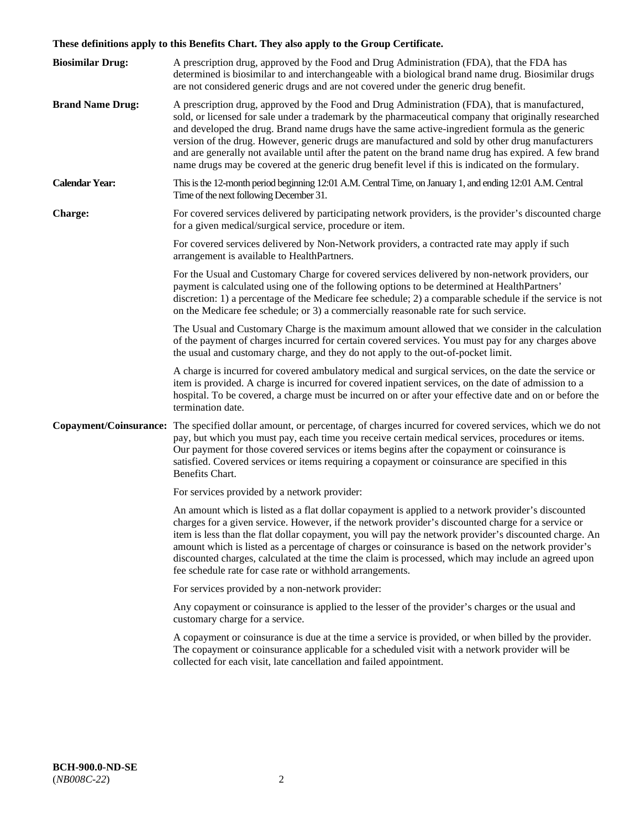# **These definitions apply to this Benefits Chart. They also apply to the Group Certificate.**

| <b>Biosimilar Drug:</b> | A prescription drug, approved by the Food and Drug Administration (FDA), that the FDA has<br>determined is biosimilar to and interchangeable with a biological brand name drug. Biosimilar drugs<br>are not considered generic drugs and are not covered under the generic drug benefit.                                                                                                                                                                                                                                                                                                                                        |
|-------------------------|---------------------------------------------------------------------------------------------------------------------------------------------------------------------------------------------------------------------------------------------------------------------------------------------------------------------------------------------------------------------------------------------------------------------------------------------------------------------------------------------------------------------------------------------------------------------------------------------------------------------------------|
| <b>Brand Name Drug:</b> | A prescription drug, approved by the Food and Drug Administration (FDA), that is manufactured,<br>sold, or licensed for sale under a trademark by the pharmaceutical company that originally researched<br>and developed the drug. Brand name drugs have the same active-ingredient formula as the generic<br>version of the drug. However, generic drugs are manufactured and sold by other drug manufacturers<br>and are generally not available until after the patent on the brand name drug has expired. A few brand<br>name drugs may be covered at the generic drug benefit level if this is indicated on the formulary. |
| <b>Calendar Year:</b>   | This is the 12-month period beginning 12:01 A.M. Central Time, on January 1, and ending 12:01 A.M. Central<br>Time of the next following December 31.                                                                                                                                                                                                                                                                                                                                                                                                                                                                           |
| <b>Charge:</b>          | For covered services delivered by participating network providers, is the provider's discounted charge<br>for a given medical/surgical service, procedure or item.                                                                                                                                                                                                                                                                                                                                                                                                                                                              |
|                         | For covered services delivered by Non-Network providers, a contracted rate may apply if such<br>arrangement is available to HealthPartners.                                                                                                                                                                                                                                                                                                                                                                                                                                                                                     |
|                         | For the Usual and Customary Charge for covered services delivered by non-network providers, our<br>payment is calculated using one of the following options to be determined at HealthPartners'<br>discretion: 1) a percentage of the Medicare fee schedule; 2) a comparable schedule if the service is not<br>on the Medicare fee schedule; or 3) a commercially reasonable rate for such service.                                                                                                                                                                                                                             |
|                         | The Usual and Customary Charge is the maximum amount allowed that we consider in the calculation<br>of the payment of charges incurred for certain covered services. You must pay for any charges above<br>the usual and customary charge, and they do not apply to the out-of-pocket limit.                                                                                                                                                                                                                                                                                                                                    |
|                         | A charge is incurred for covered ambulatory medical and surgical services, on the date the service or<br>item is provided. A charge is incurred for covered inpatient services, on the date of admission to a<br>hospital. To be covered, a charge must be incurred on or after your effective date and on or before the<br>termination date.                                                                                                                                                                                                                                                                                   |
|                         | Copayment/Coinsurance: The specified dollar amount, or percentage, of charges incurred for covered services, which we do not<br>pay, but which you must pay, each time you receive certain medical services, procedures or items.<br>Our payment for those covered services or items begins after the copayment or coinsurance is<br>satisfied. Covered services or items requiring a copayment or coinsurance are specified in this<br>Benefits Chart.                                                                                                                                                                         |
|                         | For services provided by a network provider:                                                                                                                                                                                                                                                                                                                                                                                                                                                                                                                                                                                    |
|                         | An amount which is listed as a flat dollar copayment is applied to a network provider's discounted<br>charges for a given service. However, if the network provider's discounted charge for a service or<br>item is less than the flat dollar copayment, you will pay the network provider's discounted charge. An<br>amount which is listed as a percentage of charges or coinsurance is based on the network provider's<br>discounted charges, calculated at the time the claim is processed, which may include an agreed upon<br>fee schedule rate for case rate or withhold arrangements.                                   |
|                         | For services provided by a non-network provider:                                                                                                                                                                                                                                                                                                                                                                                                                                                                                                                                                                                |
|                         | Any copayment or coinsurance is applied to the lesser of the provider's charges or the usual and<br>customary charge for a service.                                                                                                                                                                                                                                                                                                                                                                                                                                                                                             |
|                         | A copayment or coinsurance is due at the time a service is provided, or when billed by the provider.<br>The copayment or coinsurance applicable for a scheduled visit with a network provider will be<br>collected for each visit, late cancellation and failed appointment.                                                                                                                                                                                                                                                                                                                                                    |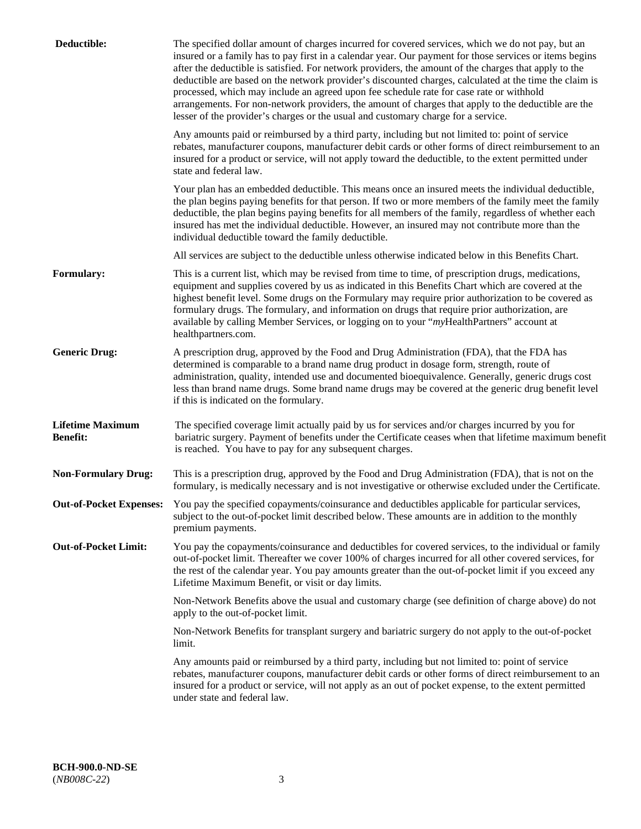| Deductible:                                | The specified dollar amount of charges incurred for covered services, which we do not pay, but an<br>insured or a family has to pay first in a calendar year. Our payment for those services or items begins<br>after the deductible is satisfied. For network providers, the amount of the charges that apply to the<br>deductible are based on the network provider's discounted charges, calculated at the time the claim is<br>processed, which may include an agreed upon fee schedule rate for case rate or withhold<br>arrangements. For non-network providers, the amount of charges that apply to the deductible are the<br>lesser of the provider's charges or the usual and customary charge for a service. |
|--------------------------------------------|------------------------------------------------------------------------------------------------------------------------------------------------------------------------------------------------------------------------------------------------------------------------------------------------------------------------------------------------------------------------------------------------------------------------------------------------------------------------------------------------------------------------------------------------------------------------------------------------------------------------------------------------------------------------------------------------------------------------|
|                                            | Any amounts paid or reimbursed by a third party, including but not limited to: point of service<br>rebates, manufacturer coupons, manufacturer debit cards or other forms of direct reimbursement to an<br>insured for a product or service, will not apply toward the deductible, to the extent permitted under<br>state and federal law.                                                                                                                                                                                                                                                                                                                                                                             |
|                                            | Your plan has an embedded deductible. This means once an insured meets the individual deductible,<br>the plan begins paying benefits for that person. If two or more members of the family meet the family<br>deductible, the plan begins paying benefits for all members of the family, regardless of whether each<br>insured has met the individual deductible. However, an insured may not contribute more than the<br>individual deductible toward the family deductible.                                                                                                                                                                                                                                          |
|                                            | All services are subject to the deductible unless otherwise indicated below in this Benefits Chart.                                                                                                                                                                                                                                                                                                                                                                                                                                                                                                                                                                                                                    |
| <b>Formulary:</b>                          | This is a current list, which may be revised from time to time, of prescription drugs, medications,<br>equipment and supplies covered by us as indicated in this Benefits Chart which are covered at the<br>highest benefit level. Some drugs on the Formulary may require prior authorization to be covered as<br>formulary drugs. The formulary, and information on drugs that require prior authorization, are<br>available by calling Member Services, or logging on to your "myHealthPartners" account at<br>healthpartners.com.                                                                                                                                                                                  |
| <b>Generic Drug:</b>                       | A prescription drug, approved by the Food and Drug Administration (FDA), that the FDA has<br>determined is comparable to a brand name drug product in dosage form, strength, route of<br>administration, quality, intended use and documented bioequivalence. Generally, generic drugs cost<br>less than brand name drugs. Some brand name drugs may be covered at the generic drug benefit level<br>if this is indicated on the formulary.                                                                                                                                                                                                                                                                            |
| <b>Lifetime Maximum</b><br><b>Benefit:</b> | The specified coverage limit actually paid by us for services and/or charges incurred by you for<br>bariatric surgery. Payment of benefits under the Certificate ceases when that lifetime maximum benefit<br>is reached. You have to pay for any subsequent charges.                                                                                                                                                                                                                                                                                                                                                                                                                                                  |
| <b>Non-Formulary Drug:</b>                 | This is a prescription drug, approved by the Food and Drug Administration (FDA), that is not on the<br>formulary, is medically necessary and is not investigative or otherwise excluded under the Certificate.                                                                                                                                                                                                                                                                                                                                                                                                                                                                                                         |
|                                            | Out-of-Pocket Expenses: You pay the specified copayments/coinsurance and deductibles applicable for particular services,<br>subject to the out-of-pocket limit described below. These amounts are in addition to the monthly<br>premium payments.                                                                                                                                                                                                                                                                                                                                                                                                                                                                      |
| <b>Out-of-Pocket Limit:</b>                | You pay the copayments/coinsurance and deductibles for covered services, to the individual or family<br>out-of-pocket limit. Thereafter we cover 100% of charges incurred for all other covered services, for<br>the rest of the calendar year. You pay amounts greater than the out-of-pocket limit if you exceed any<br>Lifetime Maximum Benefit, or visit or day limits.                                                                                                                                                                                                                                                                                                                                            |
|                                            | Non-Network Benefits above the usual and customary charge (see definition of charge above) do not<br>apply to the out-of-pocket limit.                                                                                                                                                                                                                                                                                                                                                                                                                                                                                                                                                                                 |
|                                            | Non-Network Benefits for transplant surgery and bariatric surgery do not apply to the out-of-pocket<br>limit.                                                                                                                                                                                                                                                                                                                                                                                                                                                                                                                                                                                                          |
|                                            | Any amounts paid or reimbursed by a third party, including but not limited to: point of service<br>rebates, manufacturer coupons, manufacturer debit cards or other forms of direct reimbursement to an<br>insured for a product or service, will not apply as an out of pocket expense, to the extent permitted<br>under state and federal law.                                                                                                                                                                                                                                                                                                                                                                       |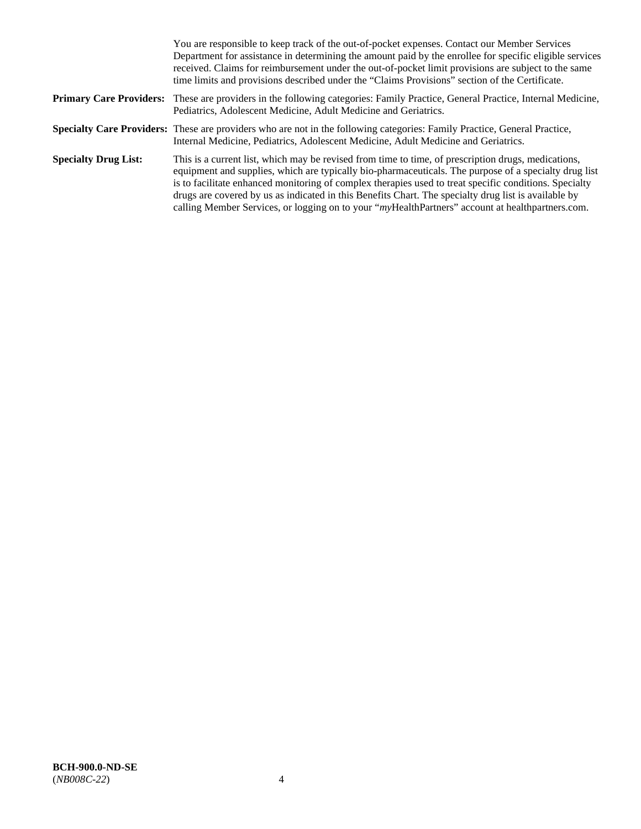|                             | You are responsible to keep track of the out-of-pocket expenses. Contact our Member Services<br>Department for assistance in determining the amount paid by the enrollee for specific eligible services<br>received. Claims for reimbursement under the out-of-pocket limit provisions are subject to the same<br>time limits and provisions described under the "Claims Provisions" section of the Certificate.                                                                                                                   |
|-----------------------------|------------------------------------------------------------------------------------------------------------------------------------------------------------------------------------------------------------------------------------------------------------------------------------------------------------------------------------------------------------------------------------------------------------------------------------------------------------------------------------------------------------------------------------|
|                             | <b>Primary Care Providers:</b> These are providers in the following categories: Family Practice, General Practice, Internal Medicine,<br>Pediatrics, Adolescent Medicine, Adult Medicine and Geriatrics.                                                                                                                                                                                                                                                                                                                           |
|                             | Specialty Care Providers: These are providers who are not in the following categories: Family Practice, General Practice,<br>Internal Medicine, Pediatrics, Adolescent Medicine, Adult Medicine and Geriatrics.                                                                                                                                                                                                                                                                                                                    |
| <b>Specialty Drug List:</b> | This is a current list, which may be revised from time to time, of prescription drugs, medications,<br>equipment and supplies, which are typically bio-pharmaceuticals. The purpose of a specialty drug list<br>is to facilitate enhanced monitoring of complex therapies used to treat specific conditions. Specialty<br>drugs are covered by us as indicated in this Benefits Chart. The specialty drug list is available by<br>calling Member Services, or logging on to your "myHealthPartners" account at healthpartners.com. |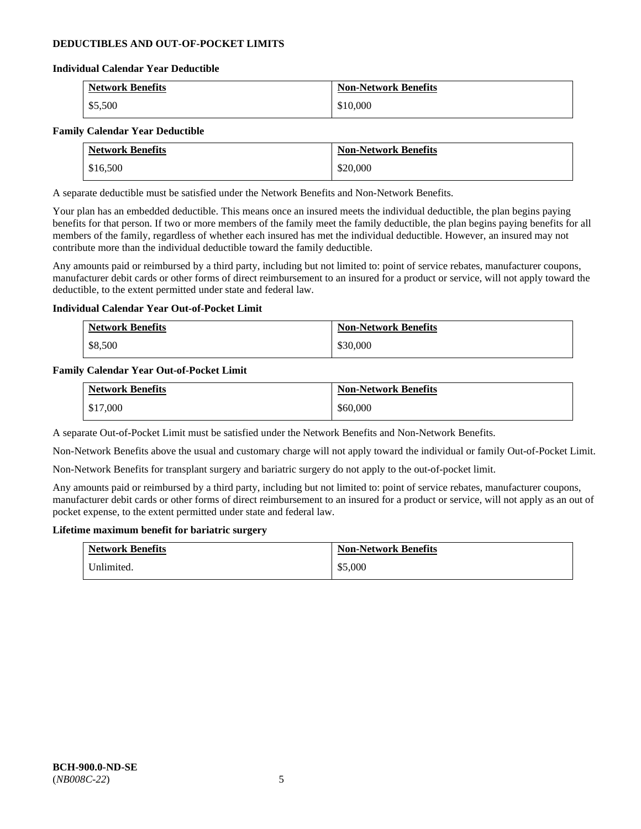### **DEDUCTIBLES AND OUT-OF-POCKET LIMITS**

### **Individual Calendar Year Deductible**

| <b>Network Benefits</b> | <b>Non-Network Benefits</b> |
|-------------------------|-----------------------------|
| \$5,500                 | \$10,000                    |

#### **Family Calendar Year Deductible**

| <b>Network Benefits</b> | <b>Non-Network Benefits</b> |
|-------------------------|-----------------------------|
| \$16,500                | \$20,000                    |

A separate deductible must be satisfied under the Network Benefits and Non-Network Benefits.

Your plan has an embedded deductible. This means once an insured meets the individual deductible, the plan begins paying benefits for that person. If two or more members of the family meet the family deductible, the plan begins paying benefits for all members of the family, regardless of whether each insured has met the individual deductible. However, an insured may not contribute more than the individual deductible toward the family deductible.

Any amounts paid or reimbursed by a third party, including but not limited to: point of service rebates, manufacturer coupons, manufacturer debit cards or other forms of direct reimbursement to an insured for a product or service, will not apply toward the deductible, to the extent permitted under state and federal law.

### **Individual Calendar Year Out-of-Pocket Limit**

| <b>Network Benefits</b> | <b>Non-Network Benefits</b> |
|-------------------------|-----------------------------|
| \$8,500                 | \$30,000                    |

#### **Family Calendar Year Out-of-Pocket Limit**

| <b>Network Benefits</b> | <b>Non-Network Benefits</b> |
|-------------------------|-----------------------------|
| \$17,000                | \$60,000                    |

A separate Out-of-Pocket Limit must be satisfied under the Network Benefits and Non-Network Benefits.

Non-Network Benefits above the usual and customary charge will not apply toward the individual or family Out-of-Pocket Limit.

Non-Network Benefits for transplant surgery and bariatric surgery do not apply to the out-of-pocket limit.

Any amounts paid or reimbursed by a third party, including but not limited to: point of service rebates, manufacturer coupons, manufacturer debit cards or other forms of direct reimbursement to an insured for a product or service, will not apply as an out of pocket expense, to the extent permitted under state and federal law.

#### **Lifetime maximum benefit for bariatric surgery**

| <b>Network Benefits</b> | <b>Non-Network Benefits</b> |
|-------------------------|-----------------------------|
| Unlimited.              | \$5,000                     |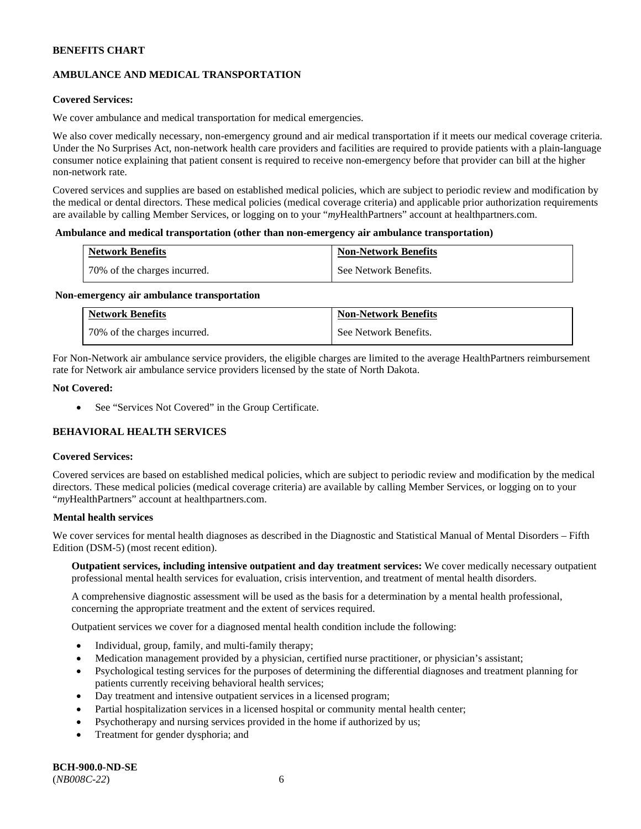# **AMBULANCE AND MEDICAL TRANSPORTATION**

### **Covered Services:**

We cover ambulance and medical transportation for medical emergencies.

We also cover medically necessary, non-emergency ground and air medical transportation if it meets our medical coverage criteria. Under the No Surprises Act, non-network health care providers and facilities are required to provide patients with a plain-language consumer notice explaining that patient consent is required to receive non-emergency before that provider can bill at the higher non-network rate.

Covered services and supplies are based on established medical policies, which are subject to periodic review and modification by the medical or dental directors. These medical policies (medical coverage criteria) and applicable prior authorization requirements are available by calling Member Services, or logging on to your "*my*HealthPartners" account a[t healthpartners.com.](http://www.healthpartners.com/)

#### **Ambulance and medical transportation (other than non-emergency air ambulance transportation)**

| <b>Network Benefits</b>      | <b>Non-Network Benefits</b> |
|------------------------------|-----------------------------|
| 70% of the charges incurred. | See Network Benefits.       |

#### **Non-emergency air ambulance transportation**

| <b>Network Benefits</b>      | <b>Non-Network Benefits</b> |
|------------------------------|-----------------------------|
| 70% of the charges incurred. | See Network Benefits.       |

For Non-Network air ambulance service providers, the eligible charges are limited to the average HealthPartners reimbursement rate for Network air ambulance service providers licensed by the state of North Dakota.

#### **Not Covered:**

• See "Services Not Covered" in the Group Certificate.

# **BEHAVIORAL HEALTH SERVICES**

#### **Covered Services:**

Covered services are based on established medical policies, which are subject to periodic review and modification by the medical directors. These medical policies (medical coverage criteria) are available by calling Member Services, or logging on to your "*my*HealthPartners" account at [healthpartners.com.](http://healthpartners.com/)

### **Mental health services**

We cover services for mental health diagnoses as described in the Diagnostic and Statistical Manual of Mental Disorders - Fifth Edition (DSM-5) (most recent edition).

**Outpatient services, including intensive outpatient and day treatment services:** We cover medically necessary outpatient professional mental health services for evaluation, crisis intervention, and treatment of mental health disorders.

A comprehensive diagnostic assessment will be used as the basis for a determination by a mental health professional, concerning the appropriate treatment and the extent of services required.

Outpatient services we cover for a diagnosed mental health condition include the following:

- Individual, group, family, and multi-family therapy;
- Medication management provided by a physician, certified nurse practitioner, or physician's assistant;
- Psychological testing services for the purposes of determining the differential diagnoses and treatment planning for patients currently receiving behavioral health services;
- Day treatment and intensive outpatient services in a licensed program;
- Partial hospitalization services in a licensed hospital or community mental health center;
- Psychotherapy and nursing services provided in the home if authorized by us;
- Treatment for gender dysphoria; and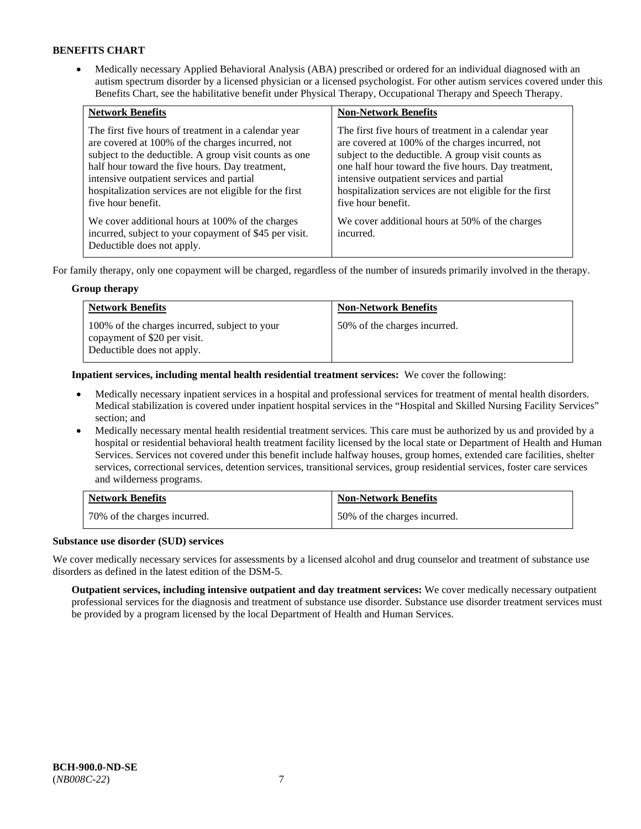• Medically necessary Applied Behavioral Analysis (ABA) prescribed or ordered for an individual diagnosed with an autism spectrum disorder by a licensed physician or a licensed psychologist. For other autism services covered under this Benefits Chart, see the habilitative benefit under Physical Therapy, Occupational Therapy and Speech Therapy.

| <b>Network Benefits</b>                                                                                                                                                                                                                                                                                                                             | <b>Non-Network Benefits</b>                                                                                                                                                                                                                                                                                                                         |
|-----------------------------------------------------------------------------------------------------------------------------------------------------------------------------------------------------------------------------------------------------------------------------------------------------------------------------------------------------|-----------------------------------------------------------------------------------------------------------------------------------------------------------------------------------------------------------------------------------------------------------------------------------------------------------------------------------------------------|
| The first five hours of treatment in a calendar year<br>are covered at 100% of the charges incurred, not<br>subject to the deductible. A group visit counts as one<br>half hour toward the five hours. Day treatment,<br>intensive outpatient services and partial<br>hospitalization services are not eligible for the first<br>five hour benefit. | The first five hours of treatment in a calendar year<br>are covered at 100% of the charges incurred, not<br>subject to the deductible. A group visit counts as<br>one half hour toward the five hours. Day treatment,<br>intensive outpatient services and partial<br>hospitalization services are not eligible for the first<br>five hour benefit. |
| We cover additional hours at 100% of the charges<br>incurred, subject to your copayment of \$45 per visit.<br>Deductible does not apply.                                                                                                                                                                                                            | We cover additional hours at 50% of the charges<br>incurred.                                                                                                                                                                                                                                                                                        |

For family therapy, only one copayment will be charged, regardless of the number of insureds primarily involved in the therapy.

### **Group therapy**

| <b>Network Benefits</b>                                                                                     | <b>Non-Network Benefits</b>  |
|-------------------------------------------------------------------------------------------------------------|------------------------------|
| 100% of the charges incurred, subject to your<br>copayment of \$20 per visit.<br>Deductible does not apply. | 50% of the charges incurred. |

**Inpatient services, including mental health residential treatment services:** We cover the following:

- Medically necessary inpatient services in a hospital and professional services for treatment of mental health disorders. Medical stabilization is covered under inpatient hospital services in the "Hospital and Skilled Nursing Facility Services" section; and
- Medically necessary mental health residential treatment services. This care must be authorized by us and provided by a hospital or residential behavioral health treatment facility licensed by the local state or Department of Health and Human Services. Services not covered under this benefit include halfway houses, group homes, extended care facilities, shelter services, correctional services, detention services, transitional services, group residential services, foster care services and wilderness programs.

| <b>Network Benefits</b>      | <b>Non-Network Benefits</b>  |
|------------------------------|------------------------------|
| 70% of the charges incurred. | 50% of the charges incurred. |

### **Substance use disorder (SUD) services**

We cover medically necessary services for assessments by a licensed alcohol and drug counselor and treatment of substance use disorders as defined in the latest edition of the DSM-5.

**Outpatient services, including intensive outpatient and day treatment services:** We cover medically necessary outpatient professional services for the diagnosis and treatment of substance use disorder. Substance use disorder treatment services must be provided by a program licensed by the local Department of Health and Human Services.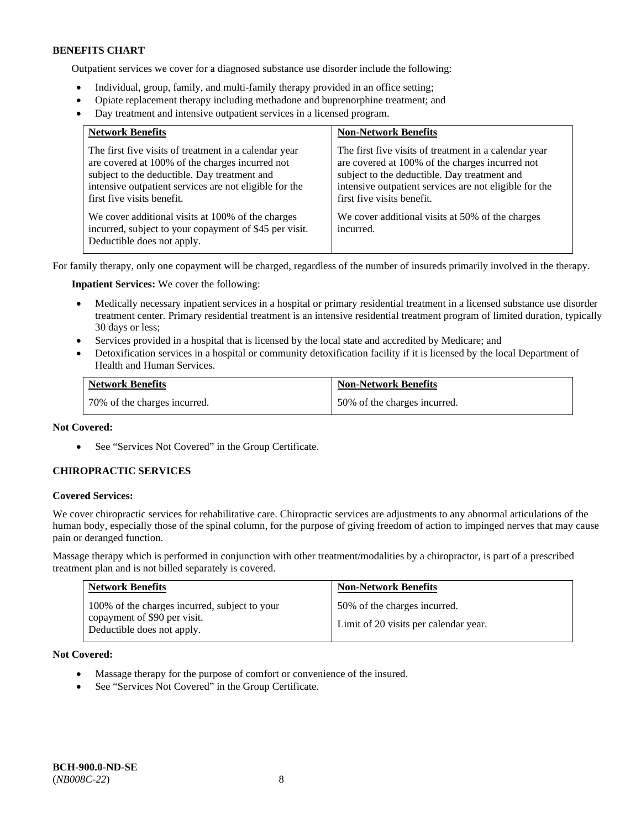Outpatient services we cover for a diagnosed substance use disorder include the following:

- Individual, group, family, and multi-family therapy provided in an office setting;
- Opiate replacement therapy including methadone and buprenorphine treatment; and
- Day treatment and intensive outpatient services in a licensed program.

| <b>Network Benefits</b>                                                                                                                                                                                                                          | <b>Non-Network Benefits</b>                                                                                                                                                                                                                      |
|--------------------------------------------------------------------------------------------------------------------------------------------------------------------------------------------------------------------------------------------------|--------------------------------------------------------------------------------------------------------------------------------------------------------------------------------------------------------------------------------------------------|
| The first five visits of treatment in a calendar year<br>are covered at 100% of the charges incurred not<br>subject to the deductible. Day treatment and<br>intensive outpatient services are not eligible for the<br>first five visits benefit. | The first five visits of treatment in a calendar year<br>are covered at 100% of the charges incurred not<br>subject to the deductible. Day treatment and<br>intensive outpatient services are not eligible for the<br>first five visits benefit. |
| We cover additional visits at 100% of the charges<br>incurred, subject to your copayment of \$45 per visit.<br>Deductible does not apply.                                                                                                        | We cover additional visits at 50% of the charges<br>incurred.                                                                                                                                                                                    |

For family therapy, only one copayment will be charged, regardless of the number of insureds primarily involved in the therapy.

**Inpatient Services:** We cover the following:

- Medically necessary inpatient services in a hospital or primary residential treatment in a licensed substance use disorder treatment center. Primary residential treatment is an intensive residential treatment program of limited duration, typically 30 days or less;
- Services provided in a hospital that is licensed by the local state and accredited by Medicare; and
- Detoxification services in a hospital or community detoxification facility if it is licensed by the local Department of Health and Human Services.

| <b>Network Benefits</b>      | <b>Non-Network Benefits</b>  |
|------------------------------|------------------------------|
| 70% of the charges incurred. | 50% of the charges incurred. |

### **Not Covered:**

• See "Services Not Covered" in the Group Certificate.

### **CHIROPRACTIC SERVICES**

#### **Covered Services:**

We cover chiropractic services for rehabilitative care. Chiropractic services are adjustments to any abnormal articulations of the human body, especially those of the spinal column, for the purpose of giving freedom of action to impinged nerves that may cause pain or deranged function.

Massage therapy which is performed in conjunction with other treatment/modalities by a chiropractor, is part of a prescribed treatment plan and is not billed separately is covered.

| <b>Network Benefits</b>                                                                                     | <b>Non-Network Benefits</b>                                           |
|-------------------------------------------------------------------------------------------------------------|-----------------------------------------------------------------------|
| 100% of the charges incurred, subject to your<br>copayment of \$90 per visit.<br>Deductible does not apply. | 50% of the charges incurred.<br>Limit of 20 visits per calendar year. |

**Not Covered:** 

- Massage therapy for the purpose of comfort or convenience of the insured.
- See "Services Not Covered" in the Group Certificate.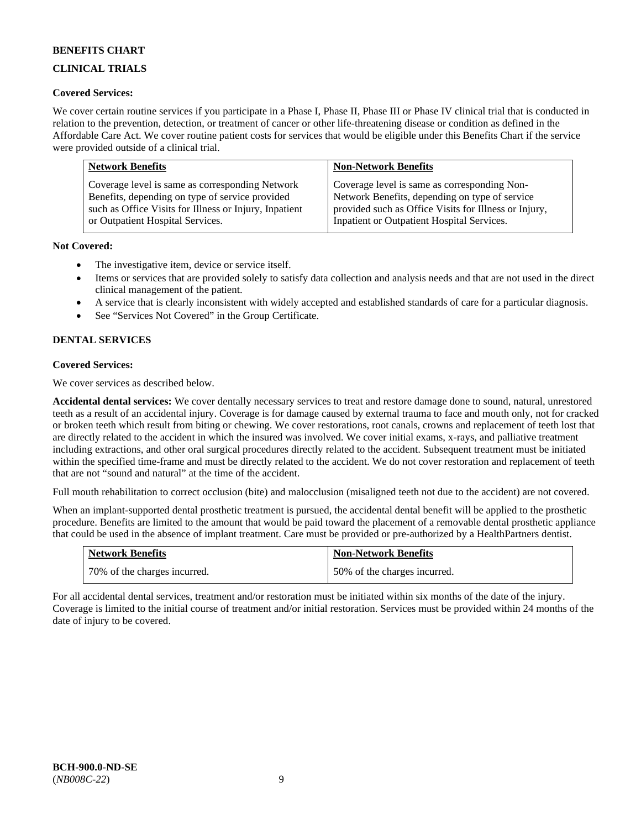# **CLINICAL TRIALS**

### **Covered Services:**

We cover certain routine services if you participate in a Phase I, Phase II, Phase III or Phase IV clinical trial that is conducted in relation to the prevention, detection, or treatment of cancer or other life-threatening disease or condition as defined in the Affordable Care Act. We cover routine patient costs for services that would be eligible under this Benefits Chart if the service were provided outside of a clinical trial.

| <b>Network Benefits</b>                                | <b>Non-Network Benefits</b>                           |
|--------------------------------------------------------|-------------------------------------------------------|
| Coverage level is same as corresponding Network        | Coverage level is same as corresponding Non-          |
| Benefits, depending on type of service provided        | Network Benefits, depending on type of service        |
| such as Office Visits for Illness or Injury, Inpatient | provided such as Office Visits for Illness or Injury, |
| or Outpatient Hospital Services.                       | Inpatient or Outpatient Hospital Services.            |

### **Not Covered:**

- The investigative item, device or service itself.
- Items or services that are provided solely to satisfy data collection and analysis needs and that are not used in the direct clinical management of the patient.
- A service that is clearly inconsistent with widely accepted and established standards of care for a particular diagnosis.
- See "Services Not Covered" in the Group Certificate.

# **DENTAL SERVICES**

### **Covered Services:**

We cover services as described below.

**Accidental dental services:** We cover dentally necessary services to treat and restore damage done to sound, natural, unrestored teeth as a result of an accidental injury. Coverage is for damage caused by external trauma to face and mouth only, not for cracked or broken teeth which result from biting or chewing. We cover restorations, root canals, crowns and replacement of teeth lost that are directly related to the accident in which the insured was involved. We cover initial exams, x-rays, and palliative treatment including extractions, and other oral surgical procedures directly related to the accident. Subsequent treatment must be initiated within the specified time-frame and must be directly related to the accident. We do not cover restoration and replacement of teeth that are not "sound and natural" at the time of the accident.

Full mouth rehabilitation to correct occlusion (bite) and malocclusion (misaligned teeth not due to the accident) are not covered.

When an implant-supported dental prosthetic treatment is pursued, the accidental dental benefit will be applied to the prosthetic procedure. Benefits are limited to the amount that would be paid toward the placement of a removable dental prosthetic appliance that could be used in the absence of implant treatment. Care must be provided or pre-authorized by a HealthPartners dentist.

| <b>Network Benefits</b>      | <b>Non-Network Benefits</b>  |
|------------------------------|------------------------------|
| 70% of the charges incurred. | 50% of the charges incurred. |

For all accidental dental services, treatment and/or restoration must be initiated within six months of the date of the injury. Coverage is limited to the initial course of treatment and/or initial restoration. Services must be provided within 24 months of the date of injury to be covered.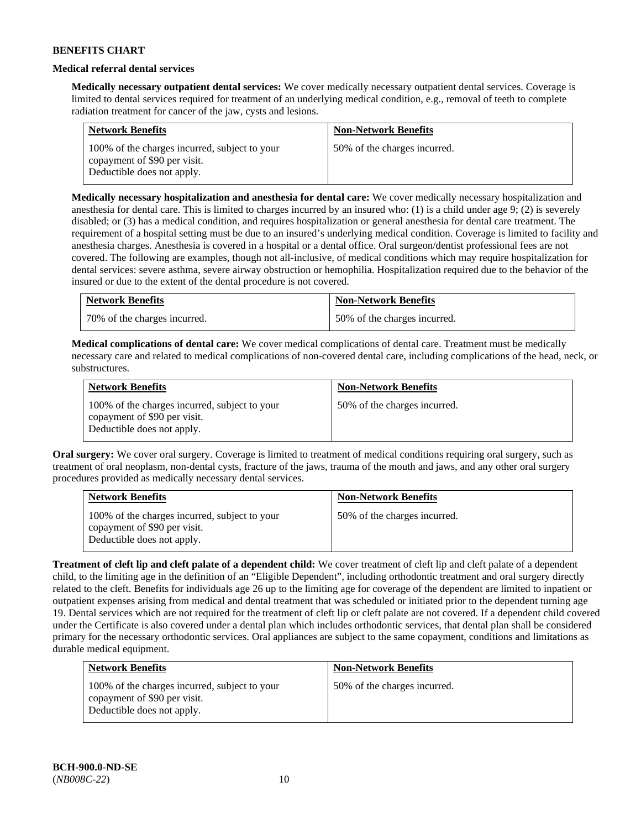### **Medical referral dental services**

**Medically necessary outpatient dental services:** We cover medically necessary outpatient dental services. Coverage is limited to dental services required for treatment of an underlying medical condition, e.g., removal of teeth to complete radiation treatment for cancer of the jaw, cysts and lesions.

| <b>Network Benefits</b>                                                                                     | <b>Non-Network Benefits</b>  |
|-------------------------------------------------------------------------------------------------------------|------------------------------|
| 100% of the charges incurred, subject to your<br>copayment of \$90 per visit.<br>Deductible does not apply. | 50% of the charges incurred. |

**Medically necessary hospitalization and anesthesia for dental care:** We cover medically necessary hospitalization and anesthesia for dental care. This is limited to charges incurred by an insured who: (1) is a child under age 9; (2) is severely disabled; or (3) has a medical condition, and requires hospitalization or general anesthesia for dental care treatment. The requirement of a hospital setting must be due to an insured's underlying medical condition. Coverage is limited to facility and anesthesia charges. Anesthesia is covered in a hospital or a dental office. Oral surgeon/dentist professional fees are not covered. The following are examples, though not all-inclusive, of medical conditions which may require hospitalization for dental services: severe asthma, severe airway obstruction or hemophilia. Hospitalization required due to the behavior of the insured or due to the extent of the dental procedure is not covered.

| <b>Network Benefits</b>      | <b>Non-Network Benefits</b>  |
|------------------------------|------------------------------|
| 70% of the charges incurred. | 50% of the charges incurred. |

**Medical complications of dental care:** We cover medical complications of dental care. Treatment must be medically necessary care and related to medical complications of non-covered dental care, including complications of the head, neck, or substructures.

| <b>Network Benefits</b>                                                                                     | <b>Non-Network Benefits</b>  |
|-------------------------------------------------------------------------------------------------------------|------------------------------|
| 100% of the charges incurred, subject to your<br>copayment of \$90 per visit.<br>Deductible does not apply. | 50% of the charges incurred. |

**Oral surgery:** We cover oral surgery. Coverage is limited to treatment of medical conditions requiring oral surgery, such as treatment of oral neoplasm, non-dental cysts, fracture of the jaws, trauma of the mouth and jaws, and any other oral surgery procedures provided as medically necessary dental services.

| <b>Network Benefits</b>                                                                                     | <b>Non-Network Benefits</b>  |
|-------------------------------------------------------------------------------------------------------------|------------------------------|
| 100% of the charges incurred, subject to your<br>copayment of \$90 per visit.<br>Deductible does not apply. | 50% of the charges incurred. |

**Treatment of cleft lip and cleft palate of a dependent child:** We cover treatment of cleft lip and cleft palate of a dependent child, to the limiting age in the definition of an "Eligible Dependent", including orthodontic treatment and oral surgery directly related to the cleft. Benefits for individuals age 26 up to the limiting age for coverage of the dependent are limited to inpatient or outpatient expenses arising from medical and dental treatment that was scheduled or initiated prior to the dependent turning age 19. Dental services which are not required for the treatment of cleft lip or cleft palate are not covered. If a dependent child covered under the Certificate is also covered under a dental plan which includes orthodontic services, that dental plan shall be considered primary for the necessary orthodontic services. Oral appliances are subject to the same copayment, conditions and limitations as durable medical equipment.

| <b>Network Benefits</b>                                                                                     | <b>Non-Network Benefits</b>  |
|-------------------------------------------------------------------------------------------------------------|------------------------------|
| 100% of the charges incurred, subject to your<br>copayment of \$90 per visit.<br>Deductible does not apply. | 50% of the charges incurred. |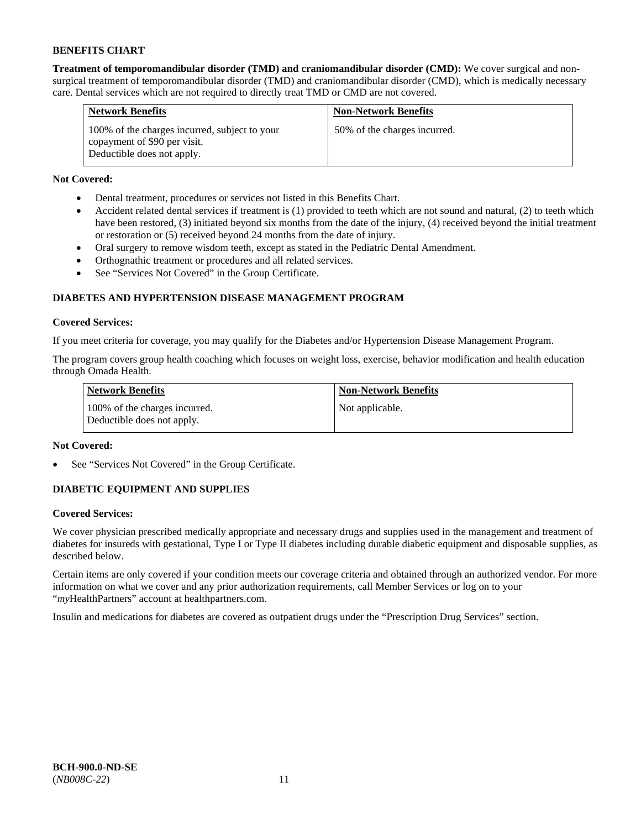**Treatment of temporomandibular disorder (TMD) and craniomandibular disorder (CMD):** We cover surgical and nonsurgical treatment of temporomandibular disorder (TMD) and craniomandibular disorder (CMD), which is medically necessary care. Dental services which are not required to directly treat TMD or CMD are not covered.

| <b>Network Benefits</b>                                                                                     | <b>Non-Network Benefits</b>  |
|-------------------------------------------------------------------------------------------------------------|------------------------------|
| 100% of the charges incurred, subject to your<br>copayment of \$90 per visit.<br>Deductible does not apply. | 50% of the charges incurred. |

# **Not Covered:**

- Dental treatment, procedures or services not listed in this Benefits Chart.
- Accident related dental services if treatment is (1) provided to teeth which are not sound and natural, (2) to teeth which have been restored, (3) initiated beyond six months from the date of the injury, (4) received beyond the initial treatment or restoration or (5) received beyond 24 months from the date of injury.
- Oral surgery to remove wisdom teeth, except as stated in the Pediatric Dental Amendment.
- Orthognathic treatment or procedures and all related services.
- See "Services Not Covered" in the Group Certificate.

# **DIABETES AND HYPERTENSION DISEASE MANAGEMENT PROGRAM**

### **Covered Services:**

If you meet criteria for coverage, you may qualify for the Diabetes and/or Hypertension Disease Management Program.

The program covers group health coaching which focuses on weight loss, exercise, behavior modification and health education through Omada Health.

| <b>Network Benefits</b>                                     | <b>Non-Network Benefits</b> |
|-------------------------------------------------------------|-----------------------------|
| 100% of the charges incurred.<br>Deductible does not apply. | Not applicable.             |

### **Not Covered:**

See "Services Not Covered" in the Group Certificate.

# **DIABETIC EQUIPMENT AND SUPPLIES**

### **Covered Services:**

We cover physician prescribed medically appropriate and necessary drugs and supplies used in the management and treatment of diabetes for insureds with gestational, Type I or Type II diabetes including durable diabetic equipment and disposable supplies, as described below.

Certain items are only covered if your condition meets our coverage criteria and obtained through an authorized vendor. For more information on what we cover and any prior authorization requirements, call Member Services or log on to your "*my*HealthPartners" account at [healthpartners.com.](http://www.healthpartners.com/)

Insulin and medications for diabetes are covered as outpatient drugs under the "Prescription Drug Services" section.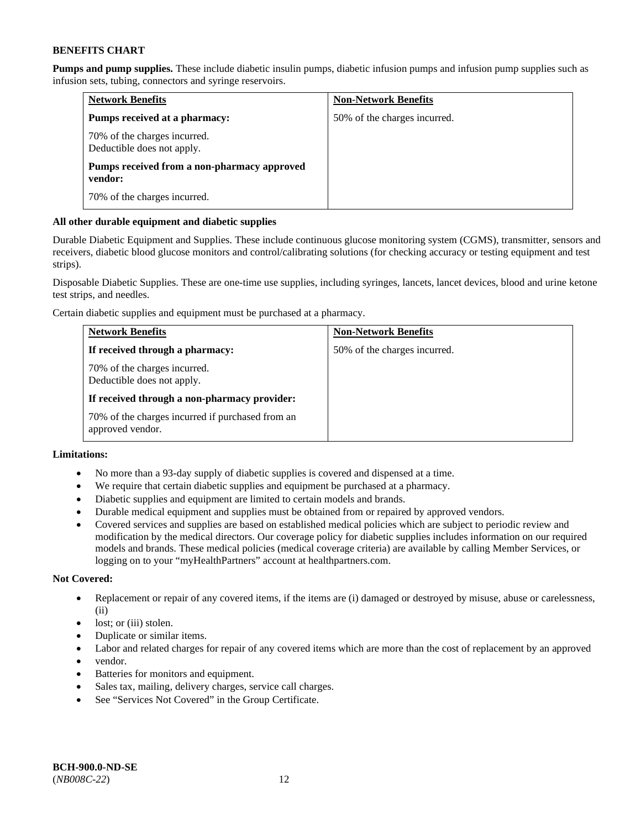**Pumps and pump supplies.** These include diabetic insulin pumps, diabetic infusion pumps and infusion pump supplies such as infusion sets, tubing, connectors and syringe reservoirs.

| <b>Network Benefits</b>                                    | <b>Non-Network Benefits</b>  |
|------------------------------------------------------------|------------------------------|
| Pumps received at a pharmacy:                              | 50% of the charges incurred. |
| 70% of the charges incurred.<br>Deductible does not apply. |                              |
| Pumps received from a non-pharmacy approved<br>vendor:     |                              |
| 70% of the charges incurred.                               |                              |

### **All other durable equipment and diabetic supplies**

Durable Diabetic Equipment and Supplies. These include continuous glucose monitoring system (CGMS), transmitter, sensors and receivers, diabetic blood glucose monitors and control/calibrating solutions (for checking accuracy or testing equipment and test strips).

Disposable Diabetic Supplies. These are one-time use supplies, including syringes, lancets, lancet devices, blood and urine ketone test strips, and needles.

Certain diabetic supplies and equipment must be purchased at a pharmacy.

| <b>Network Benefits</b>                                              | <b>Non-Network Benefits</b>  |
|----------------------------------------------------------------------|------------------------------|
| If received through a pharmacy:                                      | 50% of the charges incurred. |
| 70% of the charges incurred.<br>Deductible does not apply.           |                              |
| If received through a non-pharmacy provider:                         |                              |
| 70% of the charges incurred if purchased from an<br>approved vendor. |                              |

## **Limitations:**

- No more than a 93-day supply of diabetic supplies is covered and dispensed at a time.
- We require that certain diabetic supplies and equipment be purchased at a pharmacy.
- Diabetic supplies and equipment are limited to certain models and brands.
- Durable medical equipment and supplies must be obtained from or repaired by approved vendors.
- Covered services and supplies are based on established medical policies which are subject to periodic review and modification by the medical directors. Our coverage policy for diabetic supplies includes information on our required models and brands. These medical policies (medical coverage criteria) are available by calling Member Services, or logging on to your "myHealthPartners" account a[t healthpartners.com.](http://www.healthpartners.com/)

### **Not Covered:**

- Replacement or repair of any covered items, if the items are (i) damaged or destroyed by misuse, abuse or carelessness, (ii)
- lost; or (iii) stolen.
- Duplicate or similar items.
- Labor and related charges for repair of any covered items which are more than the cost of replacement by an approved
- vendor.
- Batteries for monitors and equipment.
- Sales tax, mailing, delivery charges, service call charges.
- See "Services Not Covered" in the Group Certificate.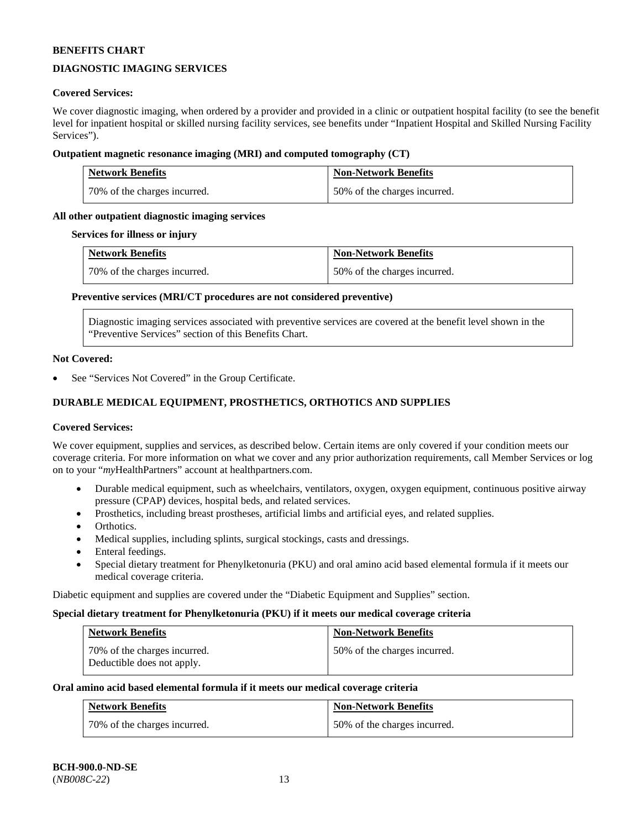# **DIAGNOSTIC IMAGING SERVICES**

### **Covered Services:**

We cover diagnostic imaging, when ordered by a provider and provided in a clinic or outpatient hospital facility (to see the benefit level for inpatient hospital or skilled nursing facility services, see benefits under "Inpatient Hospital and Skilled Nursing Facility Services").

### **Outpatient magnetic resonance imaging (MRI) and computed tomography (CT)**

| <b>Network Benefits</b>      | <b>Non-Network Benefits</b>  |
|------------------------------|------------------------------|
| 70% of the charges incurred. | 50% of the charges incurred. |

### **All other outpatient diagnostic imaging services**

#### **Services for illness or injury**

| <b>Network Benefits</b>      | <b>Non-Network Benefits</b>  |
|------------------------------|------------------------------|
| 70% of the charges incurred. | 50% of the charges incurred. |

#### **Preventive services (MRI/CT procedures are not considered preventive)**

Diagnostic imaging services associated with preventive services are covered at the benefit level shown in the "Preventive Services" section of this Benefits Chart.

#### **Not Covered:**

See "Services Not Covered" in the Group Certificate.

# **DURABLE MEDICAL EQUIPMENT, PROSTHETICS, ORTHOTICS AND SUPPLIES**

#### **Covered Services:**

We cover equipment, supplies and services, as described below. Certain items are only covered if your condition meets our coverage criteria. For more information on what we cover and any prior authorization requirements, call Member Services or log on to your "*my*HealthPartners" account at [healthpartners.com.](http://www.healthpartners.com/)

- Durable medical equipment, such as wheelchairs, ventilators, oxygen, oxygen equipment, continuous positive airway pressure (CPAP) devices, hospital beds, and related services.
- Prosthetics, including breast prostheses, artificial limbs and artificial eyes, and related supplies.
- Orthotics.
- Medical supplies, including splints, surgical stockings, casts and dressings.
- Enteral feedings.
- Special dietary treatment for Phenylketonuria (PKU) and oral amino acid based elemental formula if it meets our medical coverage criteria.

Diabetic equipment and supplies are covered under the "Diabetic Equipment and Supplies" section.

# **Special dietary treatment for Phenylketonuria (PKU) if it meets our medical coverage criteria**

| <b>Network Benefits</b>                                    | <b>Non-Network Benefits</b>  |
|------------------------------------------------------------|------------------------------|
| 70% of the charges incurred.<br>Deductible does not apply. | 50% of the charges incurred. |

# **Oral amino acid based elemental formula if it meets our medical coverage criteria**

| <b>Network Benefits</b>      | <b>Non-Network Benefits</b>  |
|------------------------------|------------------------------|
| 70% of the charges incurred. | 50% of the charges incurred. |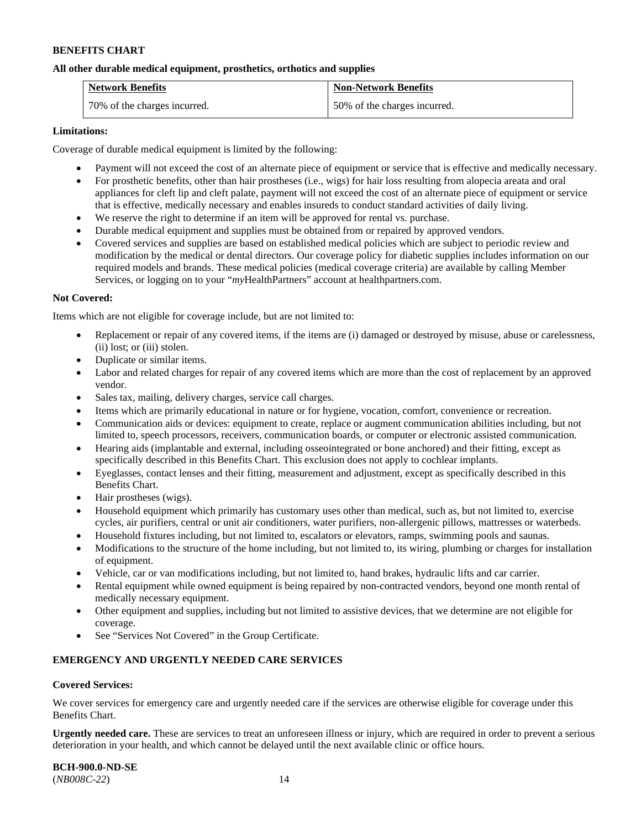### **All other durable medical equipment, prosthetics, orthotics and supplies**

| <b>Network Benefits</b>      | <b>Non-Network Benefits</b>  |
|------------------------------|------------------------------|
| 70% of the charges incurred. | 50% of the charges incurred. |

#### **Limitations:**

Coverage of durable medical equipment is limited by the following:

- Payment will not exceed the cost of an alternate piece of equipment or service that is effective and medically necessary.
- For prosthetic benefits, other than hair prostheses (i.e., wigs) for hair loss resulting from alopecia areata and oral appliances for cleft lip and cleft palate, payment will not exceed the cost of an alternate piece of equipment or service that is effective, medically necessary and enables insureds to conduct standard activities of daily living.
- We reserve the right to determine if an item will be approved for rental vs. purchase.
- Durable medical equipment and supplies must be obtained from or repaired by approved vendors.
- Covered services and supplies are based on established medical policies which are subject to periodic review and modification by the medical or dental directors. Our coverage policy for diabetic supplies includes information on our required models and brands. These medical policies (medical coverage criteria) are available by calling Member Services, or logging on to your "*my*HealthPartners" account at [healthpartners.com.](http://www.healthpartners.com/)

#### **Not Covered:**

Items which are not eligible for coverage include, but are not limited to:

- Replacement or repair of any covered items, if the items are (i) damaged or destroyed by misuse, abuse or carelessness, (ii) lost; or (iii) stolen.
- Duplicate or similar items.
- Labor and related charges for repair of any covered items which are more than the cost of replacement by an approved vendor.
- Sales tax, mailing, delivery charges, service call charges.
- Items which are primarily educational in nature or for hygiene, vocation, comfort, convenience or recreation.
- Communication aids or devices: equipment to create, replace or augment communication abilities including, but not limited to, speech processors, receivers, communication boards, or computer or electronic assisted communication.
- Hearing aids (implantable and external, including osseointegrated or bone anchored) and their fitting, except as specifically described in this Benefits Chart. This exclusion does not apply to cochlear implants.
- Eyeglasses, contact lenses and their fitting, measurement and adjustment, except as specifically described in this Benefits Chart.
- Hair prostheses (wigs).
- Household equipment which primarily has customary uses other than medical, such as, but not limited to, exercise cycles, air purifiers, central or unit air conditioners, water purifiers, non-allergenic pillows, mattresses or waterbeds.
- Household fixtures including, but not limited to, escalators or elevators, ramps, swimming pools and saunas.
- Modifications to the structure of the home including, but not limited to, its wiring, plumbing or charges for installation of equipment.
- Vehicle, car or van modifications including, but not limited to, hand brakes, hydraulic lifts and car carrier.
- Rental equipment while owned equipment is being repaired by non-contracted vendors, beyond one month rental of medically necessary equipment.
- Other equipment and supplies, including but not limited to assistive devices, that we determine are not eligible for coverage.
- See "Services Not Covered" in the Group Certificate.

### **EMERGENCY AND URGENTLY NEEDED CARE SERVICES**

#### **Covered Services:**

We cover services for emergency care and urgently needed care if the services are otherwise eligible for coverage under this Benefits Chart.

**Urgently needed care.** These are services to treat an unforeseen illness or injury, which are required in order to prevent a serious deterioration in your health, and which cannot be delayed until the next available clinic or office hours.

**BCH-900.0-ND-SE** (*NB008C-22*) 14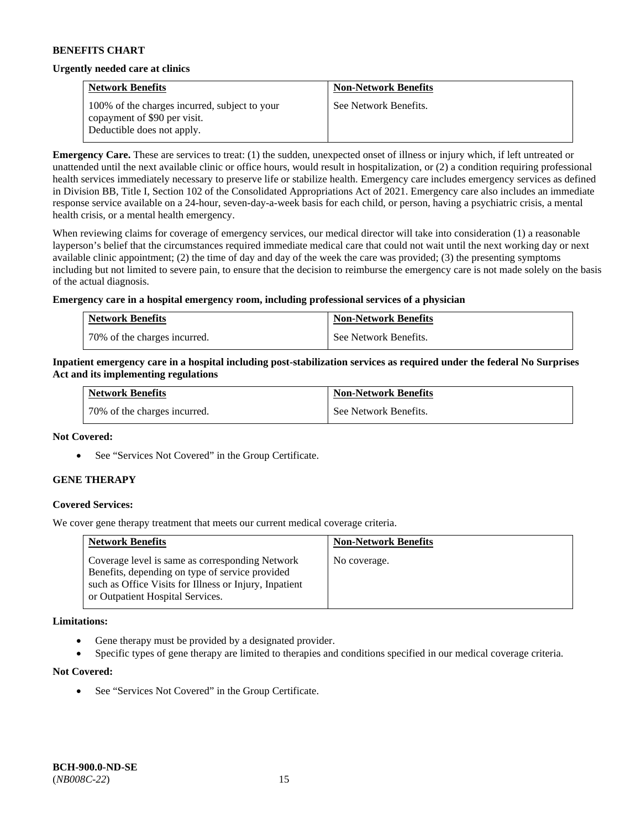#### **Urgently needed care at clinics**

| <b>Network Benefits</b>                                                                                     | <b>Non-Network Benefits</b> |
|-------------------------------------------------------------------------------------------------------------|-----------------------------|
| 100% of the charges incurred, subject to your<br>copayment of \$90 per visit.<br>Deductible does not apply. | See Network Benefits.       |

**Emergency Care.** These are services to treat: (1) the sudden, unexpected onset of illness or injury which, if left untreated or unattended until the next available clinic or office hours, would result in hospitalization, or (2) a condition requiring professional health services immediately necessary to preserve life or stabilize health. Emergency care includes emergency services as defined in Division BB, Title I, Section 102 of the Consolidated Appropriations Act of 2021. Emergency care also includes an immediate response service available on a 24-hour, seven-day-a-week basis for each child, or person, having a psychiatric crisis, a mental health crisis, or a mental health emergency.

When reviewing claims for coverage of emergency services, our medical director will take into consideration (1) a reasonable layperson's belief that the circumstances required immediate medical care that could not wait until the next working day or next available clinic appointment; (2) the time of day and day of the week the care was provided; (3) the presenting symptoms including but not limited to severe pain, to ensure that the decision to reimburse the emergency care is not made solely on the basis of the actual diagnosis.

#### **Emergency care in a hospital emergency room, including professional services of a physician**

| <b>Network Benefits</b>        | <b>Non-Network Benefits</b> |
|--------------------------------|-----------------------------|
| 1 70% of the charges incurred. | See Network Benefits.       |

#### **Inpatient emergency care in a hospital including post-stabilization services as required under the federal No Surprises Act and its implementing regulations**

| <b>Network Benefits</b>      | <b>Non-Network Benefits</b> |
|------------------------------|-----------------------------|
| 70% of the charges incurred. | See Network Benefits.       |

#### **Not Covered:**

• See "Services Not Covered" in the Group Certificate.

### **GENE THERAPY**

### **Covered Services:**

We cover gene therapy treatment that meets our current medical coverage criteria.

| <b>Network Benefits</b>                                                                                                                                                                          | <b>Non-Network Benefits</b> |
|--------------------------------------------------------------------------------------------------------------------------------------------------------------------------------------------------|-----------------------------|
| Coverage level is same as corresponding Network<br>Benefits, depending on type of service provided<br>such as Office Visits for Illness or Injury, Inpatient<br>or Outpatient Hospital Services. | No coverage.                |

#### **Limitations:**

- Gene therapy must be provided by a designated provider.
- Specific types of gene therapy are limited to therapies and conditions specified in our medical coverage criteria.

#### **Not Covered:**

See "Services Not Covered" in the Group Certificate.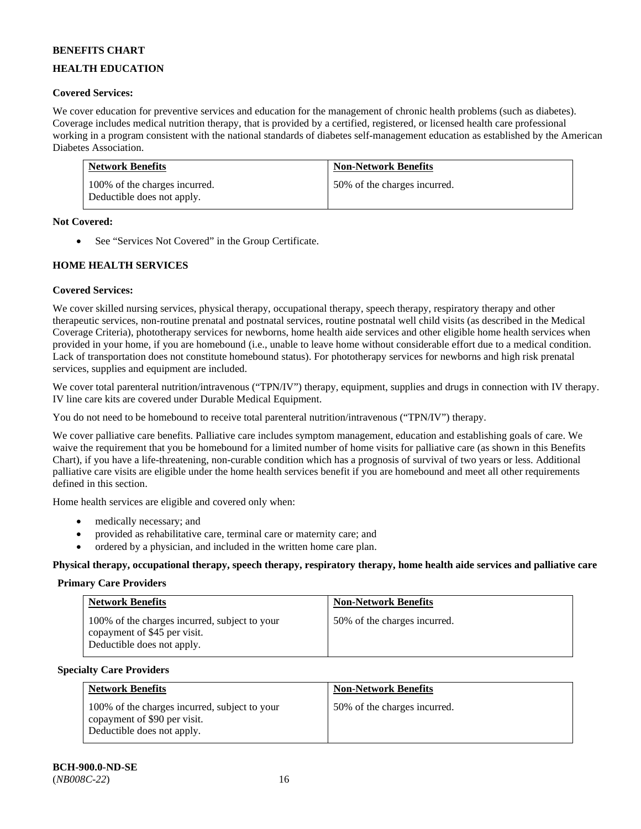# **HEALTH EDUCATION**

# **Covered Services:**

We cover education for preventive services and education for the management of chronic health problems (such as diabetes). Coverage includes medical nutrition therapy, that is provided by a certified, registered, or licensed health care professional working in a program consistent with the national standards of diabetes self-management education as established by the American Diabetes Association.

| <b>Network Benefits</b>                                     | <b>Non-Network Benefits</b>  |
|-------------------------------------------------------------|------------------------------|
| 100% of the charges incurred.<br>Deductible does not apply. | 50% of the charges incurred. |

#### **Not Covered:**

• See "Services Not Covered" in the Group Certificate.

### **HOME HEALTH SERVICES**

### **Covered Services:**

We cover skilled nursing services, physical therapy, occupational therapy, speech therapy, respiratory therapy and other therapeutic services, non-routine prenatal and postnatal services, routine postnatal well child visits (as described in the Medical Coverage Criteria), phototherapy services for newborns, home health aide services and other eligible home health services when provided in your home, if you are homebound (i.e., unable to leave home without considerable effort due to a medical condition. Lack of transportation does not constitute homebound status). For phototherapy services for newborns and high risk prenatal services, supplies and equipment are included.

We cover total parenteral nutrition/intravenous ("TPN/IV") therapy, equipment, supplies and drugs in connection with IV therapy. IV line care kits are covered under Durable Medical Equipment.

You do not need to be homebound to receive total parenteral nutrition/intravenous ("TPN/IV") therapy.

We cover palliative care benefits. Palliative care includes symptom management, education and establishing goals of care. We waive the requirement that you be homebound for a limited number of home visits for palliative care (as shown in this Benefits Chart), if you have a life-threatening, non-curable condition which has a prognosis of survival of two years or less. Additional palliative care visits are eligible under the home health services benefit if you are homebound and meet all other requirements defined in this section.

Home health services are eligible and covered only when:

- medically necessary; and
- provided as rehabilitative care, terminal care or maternity care; and
- ordered by a physician, and included in the written home care plan.

**Physical therapy, occupational therapy, speech therapy, respiratory therapy, home health aide services and palliative care**

#### **Primary Care Providers**

| <b>Network Benefits</b>                                                                                     | <b>Non-Network Benefits</b>  |
|-------------------------------------------------------------------------------------------------------------|------------------------------|
| 100% of the charges incurred, subject to your<br>copayment of \$45 per visit.<br>Deductible does not apply. | 50% of the charges incurred. |

#### **Specialty Care Providers**

| <b>Network Benefits</b>                                                                                     | <b>Non-Network Benefits</b>  |
|-------------------------------------------------------------------------------------------------------------|------------------------------|
| 100% of the charges incurred, subject to your<br>copayment of \$90 per visit.<br>Deductible does not apply. | 50% of the charges incurred. |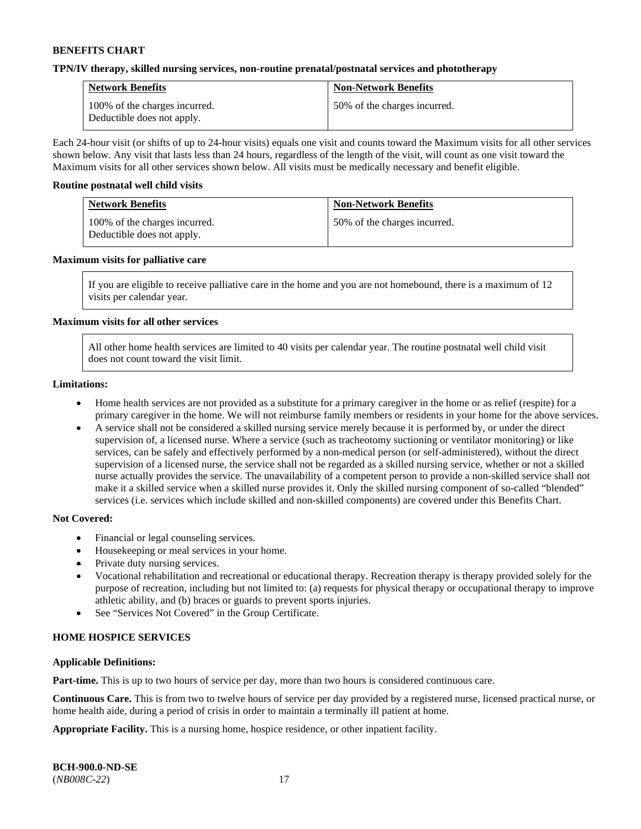#### **TPN/IV therapy, skilled nursing services, non-routine prenatal/postnatal services and phototherapy**

| <b>Network Benefits</b>                                     | <b>Non-Network Benefits</b>  |
|-------------------------------------------------------------|------------------------------|
| 100% of the charges incurred.<br>Deductible does not apply. | 50% of the charges incurred. |

Each 24-hour visit (or shifts of up to 24-hour visits) equals one visit and counts toward the Maximum visits for all other services shown below. Any visit that lasts less than 24 hours, regardless of the length of the visit, will count as one visit toward the Maximum visits for all other services shown below. All visits must be medically necessary and benefit eligible.

#### **Routine postnatal well child visits**

| <b>Network Benefits</b>                                     | <b>Non-Network Benefits</b>  |
|-------------------------------------------------------------|------------------------------|
| 100% of the charges incurred.<br>Deductible does not apply. | 50% of the charges incurred. |

#### **Maximum visits for palliative care**

If you are eligible to receive palliative care in the home and you are not homebound, there is a maximum of 12 visits per calendar year.

#### **Maximum visits for all other services**

All other home health services are limited to 40 visits per calendar year. The routine postnatal well child visit does not count toward the visit limit.

#### **Limitations:**

- Home health services are not provided as a substitute for a primary caregiver in the home or as relief (respite) for a primary caregiver in the home. We will not reimburse family members or residents in your home for the above services.
- A service shall not be considered a skilled nursing service merely because it is performed by, or under the direct supervision of, a licensed nurse. Where a service (such as tracheotomy suctioning or ventilator monitoring) or like services, can be safely and effectively performed by a non-medical person (or self-administered), without the direct supervision of a licensed nurse, the service shall not be regarded as a skilled nursing service, whether or not a skilled nurse actually provides the service. The unavailability of a competent person to provide a non-skilled service shall not make it a skilled service when a skilled nurse provides it. Only the skilled nursing component of so-called "blended" services (i.e. services which include skilled and non-skilled components) are covered under this Benefits Chart.

#### **Not Covered:**

- Financial or legal counseling services.
- Housekeeping or meal services in your home.
- Private duty nursing services.
- Vocational rehabilitation and recreational or educational therapy. Recreation therapy is therapy provided solely for the purpose of recreation, including but not limited to: (a) requests for physical therapy or occupational therapy to improve athletic ability, and (b) braces or guards to prevent sports injuries.
- See "Services Not Covered" in the Group Certificate.

### **HOME HOSPICE SERVICES**

#### **Applicable Definitions:**

**Part-time.** This is up to two hours of service per day, more than two hours is considered continuous care.

**Continuous Care.** This is from two to twelve hours of service per day provided by a registered nurse, licensed practical nurse, or home health aide, during a period of crisis in order to maintain a terminally ill patient at home.

**Appropriate Facility.** This is a nursing home, hospice residence, or other inpatient facility.

| <b>BCH-900.0-ND-SE</b> |  |
|------------------------|--|
| $(NB008C-22)$          |  |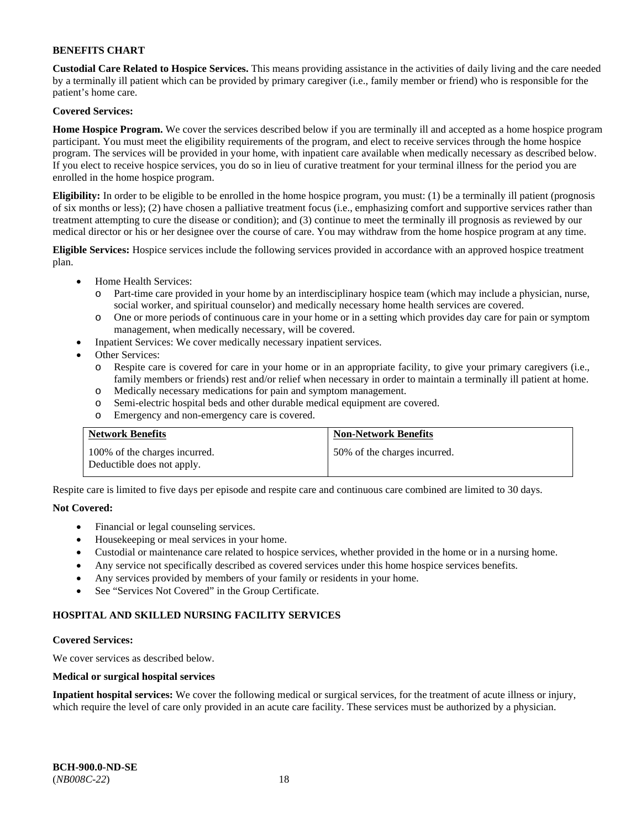**Custodial Care Related to Hospice Services.** This means providing assistance in the activities of daily living and the care needed by a terminally ill patient which can be provided by primary caregiver (i.e., family member or friend) who is responsible for the patient's home care.

### **Covered Services:**

**Home Hospice Program.** We cover the services described below if you are terminally ill and accepted as a home hospice program participant. You must meet the eligibility requirements of the program, and elect to receive services through the home hospice program. The services will be provided in your home, with inpatient care available when medically necessary as described below. If you elect to receive hospice services, you do so in lieu of curative treatment for your terminal illness for the period you are enrolled in the home hospice program.

**Eligibility:** In order to be eligible to be enrolled in the home hospice program, you must: (1) be a terminally ill patient (prognosis of six months or less); (2) have chosen a palliative treatment focus (i.e., emphasizing comfort and supportive services rather than treatment attempting to cure the disease or condition); and (3) continue to meet the terminally ill prognosis as reviewed by our medical director or his or her designee over the course of care. You may withdraw from the home hospice program at any time.

**Eligible Services:** Hospice services include the following services provided in accordance with an approved hospice treatment plan.

- Home Health Services:
	- o Part-time care provided in your home by an interdisciplinary hospice team (which may include a physician, nurse, social worker, and spiritual counselor) and medically necessary home health services are covered.
	- o One or more periods of continuous care in your home or in a setting which provides day care for pain or symptom management, when medically necessary, will be covered.
	- Inpatient Services: We cover medically necessary inpatient services.
- Other Services:
	- o Respite care is covered for care in your home or in an appropriate facility, to give your primary caregivers (i.e., family members or friends) rest and/or relief when necessary in order to maintain a terminally ill patient at home.
	- o Medically necessary medications for pain and symptom management.
	- o Semi-electric hospital beds and other durable medical equipment are covered.
	- o Emergency and non-emergency care is covered.

| <b>Network Benefits</b>                                     | <b>Non-Network Benefits</b>  |
|-------------------------------------------------------------|------------------------------|
| 100% of the charges incurred.<br>Deductible does not apply. | 50% of the charges incurred. |

Respite care is limited to five days per episode and respite care and continuous care combined are limited to 30 days.

### **Not Covered:**

- Financial or legal counseling services.
- Housekeeping or meal services in your home.
- Custodial or maintenance care related to hospice services, whether provided in the home or in a nursing home.
- Any service not specifically described as covered services under this home hospice services benefits.
- Any services provided by members of your family or residents in your home.
- See "Services Not Covered" in the Group Certificate.

### **HOSPITAL AND SKILLED NURSING FACILITY SERVICES**

#### **Covered Services:**

We cover services as described below.

### **Medical or surgical hospital services**

**Inpatient hospital services:** We cover the following medical or surgical services, for the treatment of acute illness or injury, which require the level of care only provided in an acute care facility. These services must be authorized by a physician.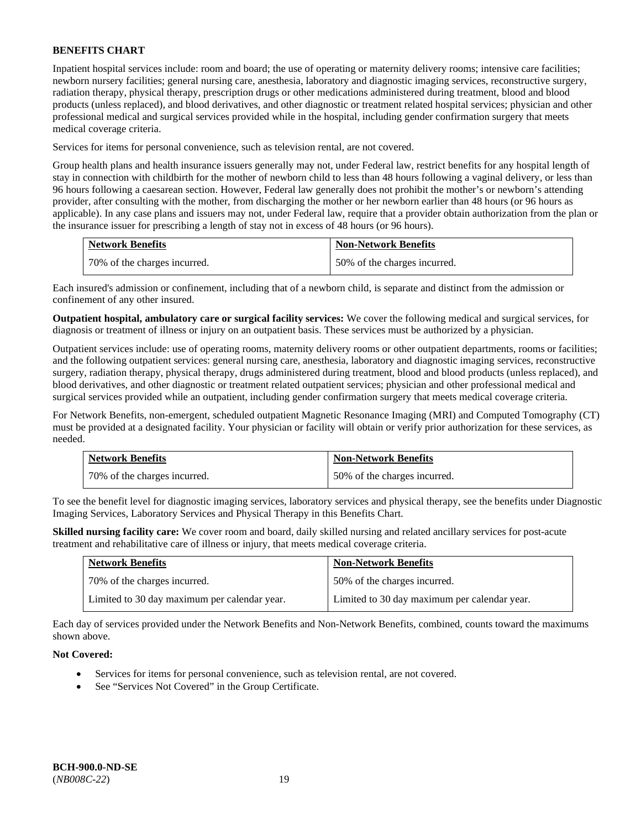Inpatient hospital services include: room and board; the use of operating or maternity delivery rooms; intensive care facilities; newborn nursery facilities; general nursing care, anesthesia, laboratory and diagnostic imaging services, reconstructive surgery, radiation therapy, physical therapy, prescription drugs or other medications administered during treatment, blood and blood products (unless replaced), and blood derivatives, and other diagnostic or treatment related hospital services; physician and other professional medical and surgical services provided while in the hospital, including gender confirmation surgery that meets medical coverage criteria.

Services for items for personal convenience, such as television rental, are not covered.

Group health plans and health insurance issuers generally may not, under Federal law, restrict benefits for any hospital length of stay in connection with childbirth for the mother of newborn child to less than 48 hours following a vaginal delivery, or less than 96 hours following a caesarean section. However, Federal law generally does not prohibit the mother's or newborn's attending provider, after consulting with the mother, from discharging the mother or her newborn earlier than 48 hours (or 96 hours as applicable). In any case plans and issuers may not, under Federal law, require that a provider obtain authorization from the plan or the insurance issuer for prescribing a length of stay not in excess of 48 hours (or 96 hours).

| <b>Network Benefits</b>      | <b>Non-Network Benefits</b>  |
|------------------------------|------------------------------|
| 70% of the charges incurred. | 50% of the charges incurred. |

Each insured's admission or confinement, including that of a newborn child, is separate and distinct from the admission or confinement of any other insured.

**Outpatient hospital, ambulatory care or surgical facility services:** We cover the following medical and surgical services, for diagnosis or treatment of illness or injury on an outpatient basis. These services must be authorized by a physician.

Outpatient services include: use of operating rooms, maternity delivery rooms or other outpatient departments, rooms or facilities; and the following outpatient services: general nursing care, anesthesia, laboratory and diagnostic imaging services, reconstructive surgery, radiation therapy, physical therapy, drugs administered during treatment, blood and blood products (unless replaced), and blood derivatives, and other diagnostic or treatment related outpatient services; physician and other professional medical and surgical services provided while an outpatient, including gender confirmation surgery that meets medical coverage criteria.

For Network Benefits, non-emergent, scheduled outpatient Magnetic Resonance Imaging (MRI) and Computed Tomography (CT) must be provided at a designated facility. Your physician or facility will obtain or verify prior authorization for these services, as needed.

| <b>Network Benefits</b>      | <b>Non-Network Benefits</b>  |
|------------------------------|------------------------------|
| 70% of the charges incurred. | 50% of the charges incurred. |

To see the benefit level for diagnostic imaging services, laboratory services and physical therapy, see the benefits under Diagnostic Imaging Services, Laboratory Services and Physical Therapy in this Benefits Chart.

**Skilled nursing facility care:** We cover room and board, daily skilled nursing and related ancillary services for post-acute treatment and rehabilitative care of illness or injury, that meets medical coverage criteria.

| <b>Network Benefits</b>                      | <b>Non-Network Benefits</b>                  |
|----------------------------------------------|----------------------------------------------|
| 70% of the charges incurred.                 | 50% of the charges incurred.                 |
| Limited to 30 day maximum per calendar year. | Limited to 30 day maximum per calendar year. |

Each day of services provided under the Network Benefits and Non-Network Benefits, combined, counts toward the maximums shown above.

### **Not Covered:**

- Services for items for personal convenience, such as television rental, are not covered.
- See "Services Not Covered" in the Group Certificate.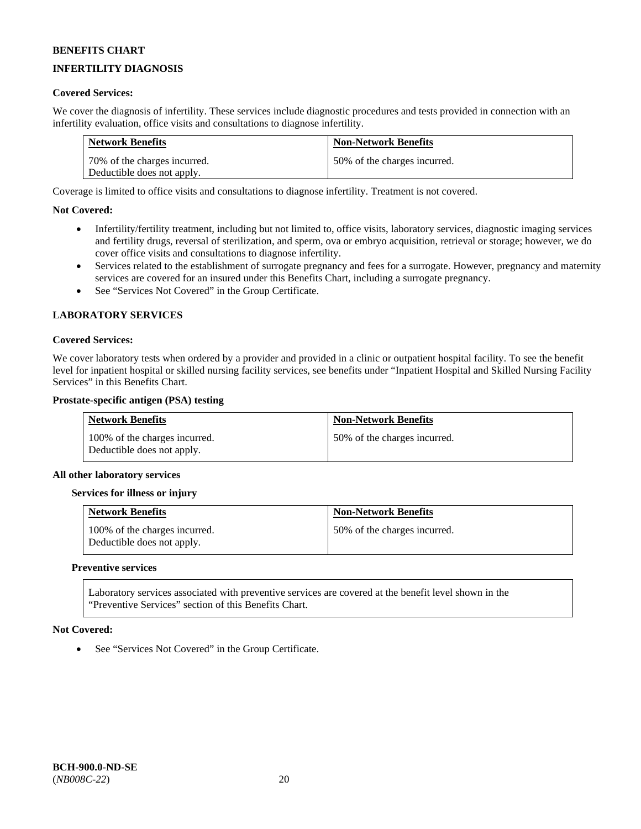# **INFERTILITY DIAGNOSIS**

### **Covered Services:**

We cover the diagnosis of infertility. These services include diagnostic procedures and tests provided in connection with an infertility evaluation, office visits and consultations to diagnose infertility.

| <b>Network Benefits</b>      | <b>Non-Network Benefits</b>  |
|------------------------------|------------------------------|
| 70% of the charges incurred. | 50% of the charges incurred. |
| Deductible does not apply.   |                              |

Coverage is limited to office visits and consultations to diagnose infertility. Treatment is not covered.

#### **Not Covered:**

- Infertility/fertility treatment, including but not limited to, office visits, laboratory services, diagnostic imaging services and fertility drugs, reversal of sterilization, and sperm, ova or embryo acquisition, retrieval or storage; however, we do cover office visits and consultations to diagnose infertility.
- Services related to the establishment of surrogate pregnancy and fees for a surrogate. However, pregnancy and maternity services are covered for an insured under this Benefits Chart, including a surrogate pregnancy.
- See "Services Not Covered" in the Group Certificate.

#### **LABORATORY SERVICES**

#### **Covered Services:**

We cover laboratory tests when ordered by a provider and provided in a clinic or outpatient hospital facility. To see the benefit level for inpatient hospital or skilled nursing facility services, see benefits under "Inpatient Hospital and Skilled Nursing Facility Services" in this Benefits Chart.

#### **Prostate-specific antigen (PSA) testing**

| <b>Network Benefits</b>                                     | <b>Non-Network Benefits</b>  |
|-------------------------------------------------------------|------------------------------|
| 100% of the charges incurred.<br>Deductible does not apply. | 50% of the charges incurred. |

#### **All other laboratory services**

#### **Services for illness or injury**

| <b>Network Benefits</b>                                     | <b>Non-Network Benefits</b>  |
|-------------------------------------------------------------|------------------------------|
| 100% of the charges incurred.<br>Deductible does not apply. | 50% of the charges incurred. |

#### **Preventive services**

Laboratory services associated with preventive services are covered at the benefit level shown in the "Preventive Services" section of this Benefits Chart.

#### **Not Covered:**

See "Services Not Covered" in the Group Certificate.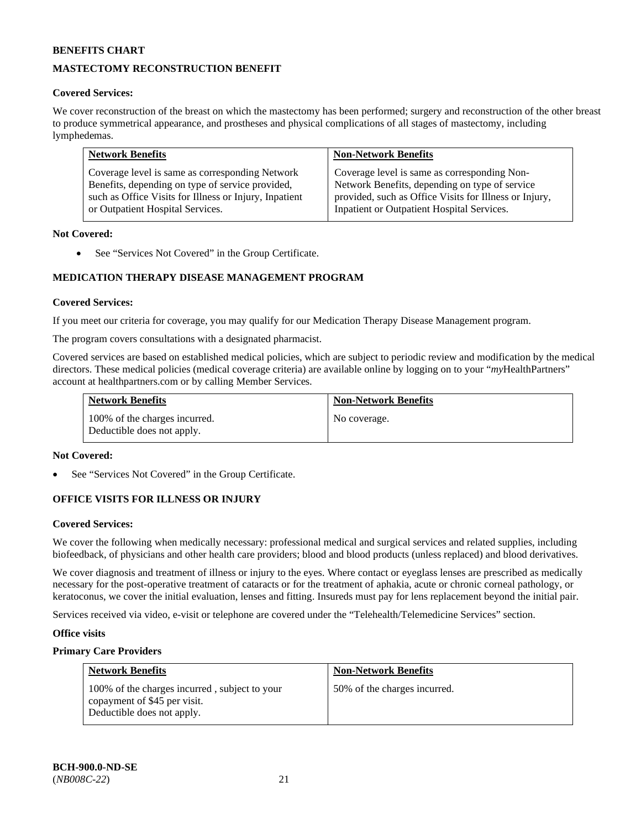# **MASTECTOMY RECONSTRUCTION BENEFIT**

### **Covered Services:**

We cover reconstruction of the breast on which the mastectomy has been performed; surgery and reconstruction of the other breast to produce symmetrical appearance, and prostheses and physical complications of all stages of mastectomy, including lymphedemas.

| <b>Network Benefits</b>                                | <b>Non-Network Benefits</b>                            |
|--------------------------------------------------------|--------------------------------------------------------|
| Coverage level is same as corresponding Network        | Coverage level is same as corresponding Non-           |
| Benefits, depending on type of service provided,       | Network Benefits, depending on type of service         |
| such as Office Visits for Illness or Injury, Inpatient | provided, such as Office Visits for Illness or Injury, |
| or Outpatient Hospital Services.                       | Inpatient or Outpatient Hospital Services.             |

#### **Not Covered:**

• See "Services Not Covered" in the Group Certificate.

# **MEDICATION THERAPY DISEASE MANAGEMENT PROGRAM**

#### **Covered Services:**

If you meet our criteria for coverage, you may qualify for our Medication Therapy Disease Management program.

The program covers consultations with a designated pharmacist.

Covered services are based on established medical policies, which are subject to periodic review and modification by the medical directors. These medical policies (medical coverage criteria) are available online by logging on to your "*my*HealthPartners" account a[t healthpartners.com](http://www.healthpartners.com/) or by calling Member Services.

| <b>Network Benefits</b>                                     | <b>Non-Network Benefits</b> |
|-------------------------------------------------------------|-----------------------------|
| 100% of the charges incurred.<br>Deductible does not apply. | No coverage.                |

#### **Not Covered:**

See "Services Not Covered" in the Group Certificate.

### **OFFICE VISITS FOR ILLNESS OR INJURY**

#### **Covered Services:**

We cover the following when medically necessary: professional medical and surgical services and related supplies, including biofeedback, of physicians and other health care providers; blood and blood products (unless replaced) and blood derivatives.

We cover diagnosis and treatment of illness or injury to the eyes. Where contact or eyeglass lenses are prescribed as medically necessary for the post-operative treatment of cataracts or for the treatment of aphakia, acute or chronic corneal pathology, or keratoconus, we cover the initial evaluation, lenses and fitting. Insureds must pay for lens replacement beyond the initial pair.

Services received via video, e-visit or telephone are covered under the "Telehealth/Telemedicine Services" section.

#### **Office visits**

### **Primary Care Providers**

| <b>Network Benefits</b>                                                       | <b>Non-Network Benefits</b>  |
|-------------------------------------------------------------------------------|------------------------------|
| 100% of the charges incurred, subject to your<br>copayment of \$45 per visit. | 50% of the charges incurred. |
| Deductible does not apply.                                                    |                              |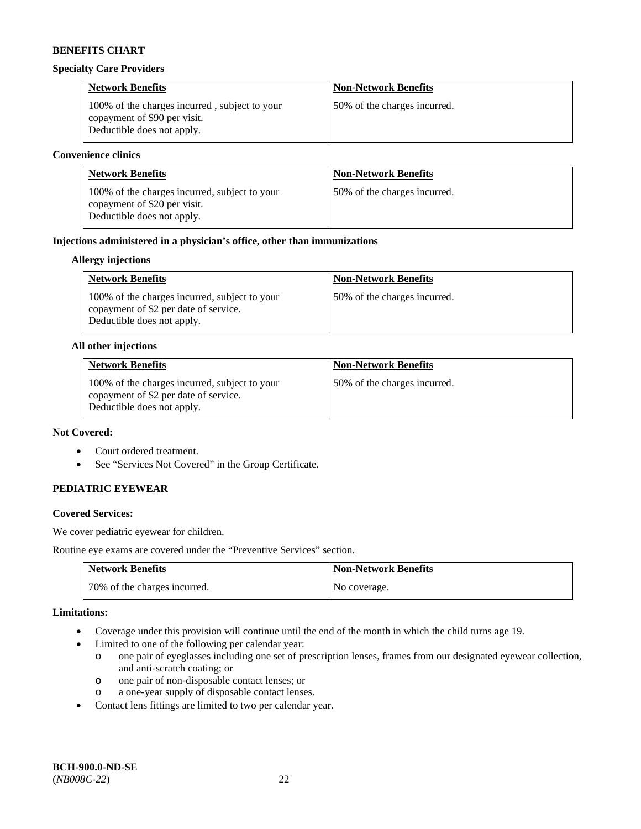#### **Specialty Care Providers**

| <b>Network Benefits</b>                                                                                     | <b>Non-Network Benefits</b>  |
|-------------------------------------------------------------------------------------------------------------|------------------------------|
| 100% of the charges incurred, subject to your<br>copayment of \$90 per visit.<br>Deductible does not apply. | 50% of the charges incurred. |

#### **Convenience clinics**

| <b>Network Benefits</b>                                                                                     | <b>Non-Network Benefits</b>  |
|-------------------------------------------------------------------------------------------------------------|------------------------------|
| 100% of the charges incurred, subject to your<br>copayment of \$20 per visit.<br>Deductible does not apply. | 50% of the charges incurred. |

### **Injections administered in a physician's office, other than immunizations**

### **Allergy injections**

| <b>Network Benefits</b>                                                                                              | <b>Non-Network Benefits</b>  |
|----------------------------------------------------------------------------------------------------------------------|------------------------------|
| 100% of the charges incurred, subject to your<br>copayment of \$2 per date of service.<br>Deductible does not apply. | 50% of the charges incurred. |

#### **All other injections**

| <b>Network Benefits</b>                                                                                              | <b>Non-Network Benefits</b>  |
|----------------------------------------------------------------------------------------------------------------------|------------------------------|
| 100% of the charges incurred, subject to your<br>copayment of \$2 per date of service.<br>Deductible does not apply. | 50% of the charges incurred. |

# **Not Covered:**

- Court ordered treatment.
- See "Services Not Covered" in the Group Certificate.

### **PEDIATRIC EYEWEAR**

### **Covered Services:**

We cover pediatric eyewear for children.

Routine eye exams are covered under the "Preventive Services" section.

| <b>Network Benefits</b>      | <b>Non-Network Benefits</b> |
|------------------------------|-----------------------------|
| 70% of the charges incurred. | No coverage.                |

#### **Limitations:**

- Coverage under this provision will continue until the end of the month in which the child turns age 19.
- Limited to one of the following per calendar year:
	- o one pair of eyeglasses including one set of prescription lenses, frames from our designated eyewear collection, and anti-scratch coating; or
	- o one pair of non-disposable contact lenses; or
	- o a one-year supply of disposable contact lenses.
- Contact lens fittings are limited to two per calendar year.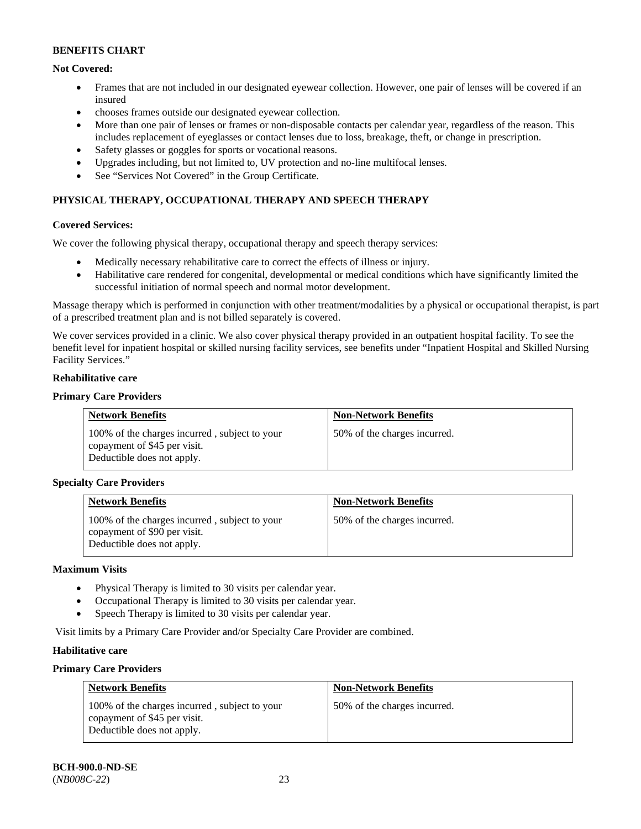# **Not Covered:**

- Frames that are not included in our designated eyewear collection. However, one pair of lenses will be covered if an insured
- chooses frames outside our designated eyewear collection.
- More than one pair of lenses or frames or non-disposable contacts per calendar year, regardless of the reason. This includes replacement of eyeglasses or contact lenses due to loss, breakage, theft, or change in prescription.
- Safety glasses or goggles for sports or vocational reasons.
- Upgrades including, but not limited to, UV protection and no-line multifocal lenses.
- See "Services Not Covered" in the Group Certificate.

# **PHYSICAL THERAPY, OCCUPATIONAL THERAPY AND SPEECH THERAPY**

### **Covered Services:**

We cover the following physical therapy, occupational therapy and speech therapy services:

- Medically necessary rehabilitative care to correct the effects of illness or injury.
- Habilitative care rendered for congenital, developmental or medical conditions which have significantly limited the successful initiation of normal speech and normal motor development.

Massage therapy which is performed in conjunction with other treatment/modalities by a physical or occupational therapist, is part of a prescribed treatment plan and is not billed separately is covered.

We cover services provided in a clinic. We also cover physical therapy provided in an outpatient hospital facility. To see the benefit level for inpatient hospital or skilled nursing facility services, see benefits under "Inpatient Hospital and Skilled Nursing Facility Services."

#### **Rehabilitative care**

### **Primary Care Providers**

| <b>Network Benefits</b>                                                                                     | <b>Non-Network Benefits</b>  |
|-------------------------------------------------------------------------------------------------------------|------------------------------|
| 100% of the charges incurred, subject to your<br>copayment of \$45 per visit.<br>Deductible does not apply. | 50% of the charges incurred. |

### **Specialty Care Providers**

| <b>Network Benefits</b>                                                                                     | <b>Non-Network Benefits</b>  |
|-------------------------------------------------------------------------------------------------------------|------------------------------|
| 100% of the charges incurred, subject to your<br>copayment of \$90 per visit.<br>Deductible does not apply. | 50% of the charges incurred. |

#### **Maximum Visits**

- Physical Therapy is limited to 30 visits per calendar year.
- Occupational Therapy is limited to 30 visits per calendar year.
- Speech Therapy is limited to 30 visits per calendar year.

Visit limits by a Primary Care Provider and/or Specialty Care Provider are combined.

### **Habilitative care**

### **Primary Care Providers**

| <b>Network Benefits</b>                                                                                     | <b>Non-Network Benefits</b>  |
|-------------------------------------------------------------------------------------------------------------|------------------------------|
| 100% of the charges incurred, subject to your<br>copayment of \$45 per visit.<br>Deductible does not apply. | 50% of the charges incurred. |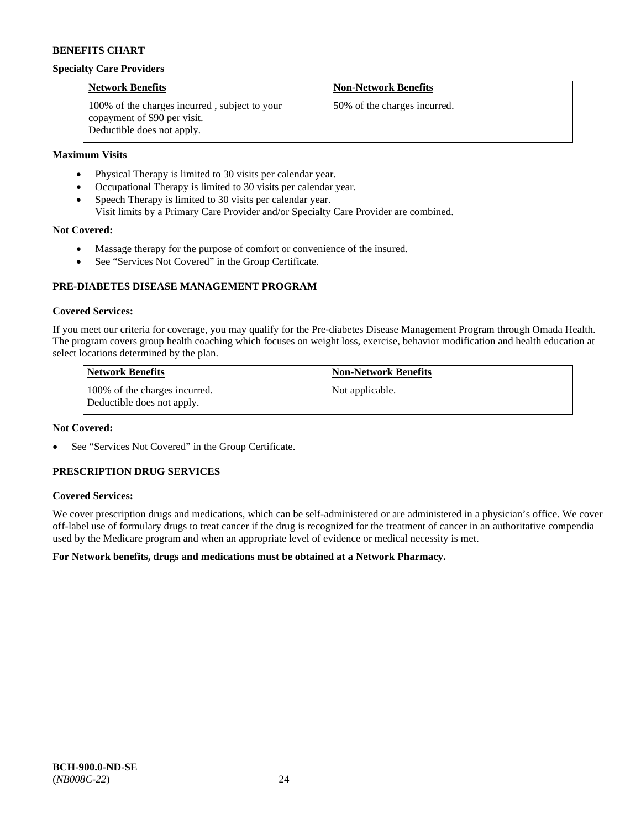#### **Specialty Care Providers**

| <b>Network Benefits</b>                                                                                     | <b>Non-Network Benefits</b>  |
|-------------------------------------------------------------------------------------------------------------|------------------------------|
| 100% of the charges incurred, subject to your<br>copayment of \$90 per visit.<br>Deductible does not apply. | 50% of the charges incurred. |

### **Maximum Visits**

- Physical Therapy is limited to 30 visits per calendar year.
- Occupational Therapy is limited to 30 visits per calendar year.
- Speech Therapy is limited to 30 visits per calendar year.
- Visit limits by a Primary Care Provider and/or Specialty Care Provider are combined.

### **Not Covered:**

- Massage therapy for the purpose of comfort or convenience of the insured.
- See "Services Not Covered" in the Group Certificate.

### **PRE-DIABETES DISEASE MANAGEMENT PROGRAM**

#### **Covered Services:**

If you meet our criteria for coverage, you may qualify for the Pre-diabetes Disease Management Program through Omada Health. The program covers group health coaching which focuses on weight loss, exercise, behavior modification and health education at select locations determined by the plan.

| Network Benefits                                            | <b>Non-Network Benefits</b> |
|-------------------------------------------------------------|-----------------------------|
| 100% of the charges incurred.<br>Deductible does not apply. | Not applicable.             |

#### **Not Covered:**

See "Services Not Covered" in the Group Certificate.

# **PRESCRIPTION DRUG SERVICES**

### **Covered Services:**

We cover prescription drugs and medications, which can be self-administered or are administered in a physician's office. We cover off-label use of formulary drugs to treat cancer if the drug is recognized for the treatment of cancer in an authoritative compendia used by the Medicare program and when an appropriate level of evidence or medical necessity is met.

### **For Network benefits, drugs and medications must be obtained at a Network Pharmacy.**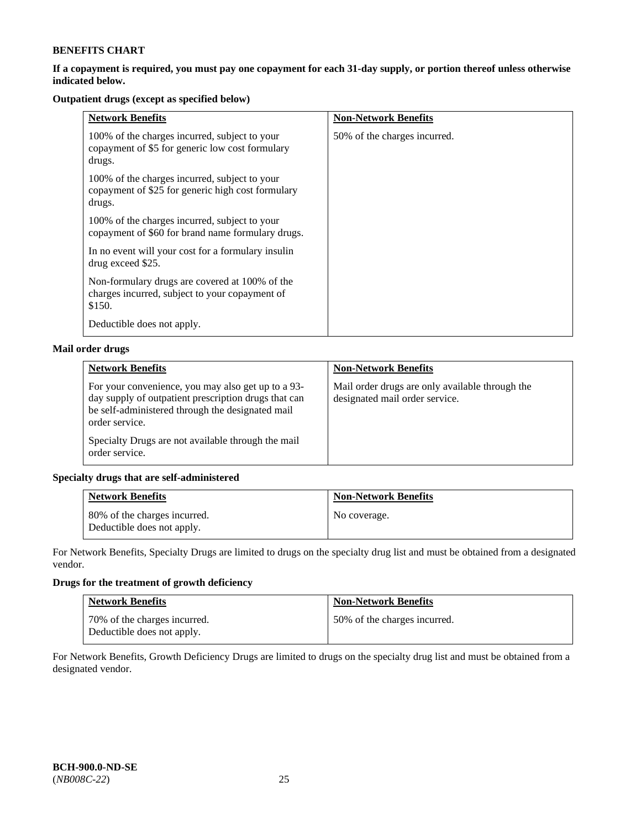### **If a copayment is required, you must pay one copayment for each 31-day supply, or portion thereof unless otherwise indicated below.**

# **Outpatient drugs (except as specified below)**

| <b>Network Benefits</b>                                                                                      | <b>Non-Network Benefits</b>  |
|--------------------------------------------------------------------------------------------------------------|------------------------------|
| 100% of the charges incurred, subject to your<br>copayment of \$5 for generic low cost formulary<br>drugs.   | 50% of the charges incurred. |
| 100% of the charges incurred, subject to your<br>copayment of \$25 for generic high cost formulary<br>drugs. |                              |
| 100% of the charges incurred, subject to your<br>copayment of \$60 for brand name formulary drugs.           |                              |
| In no event will your cost for a formulary insulin<br>drug exceed \$25.                                      |                              |
| Non-formulary drugs are covered at 100% of the<br>charges incurred, subject to your copayment of<br>\$150.   |                              |
| Deductible does not apply.                                                                                   |                              |

# **Mail order drugs**

| <b>Network Benefits</b>                                                                                                                                                          | <b>Non-Network Benefits</b>                                                       |
|----------------------------------------------------------------------------------------------------------------------------------------------------------------------------------|-----------------------------------------------------------------------------------|
| For your convenience, you may also get up to a 93-<br>day supply of outpatient prescription drugs that can<br>be self-administered through the designated mail<br>order service. | Mail order drugs are only available through the<br>designated mail order service. |
| Specialty Drugs are not available through the mail<br>order service.                                                                                                             |                                                                                   |

### **Specialty drugs that are self-administered**

| <b>Network Benefits</b>                                    | <b>Non-Network Benefits</b> |
|------------------------------------------------------------|-----------------------------|
| 80% of the charges incurred.<br>Deductible does not apply. | No coverage.                |

For Network Benefits, Specialty Drugs are limited to drugs on the specialty drug list and must be obtained from a designated vendor.

# **Drugs for the treatment of growth deficiency**

| <b>Network Benefits</b>                                    | <b>Non-Network Benefits</b>  |
|------------------------------------------------------------|------------------------------|
| 70% of the charges incurred.<br>Deductible does not apply. | 50% of the charges incurred. |

For Network Benefits, Growth Deficiency Drugs are limited to drugs on the specialty drug list and must be obtained from a designated vendor.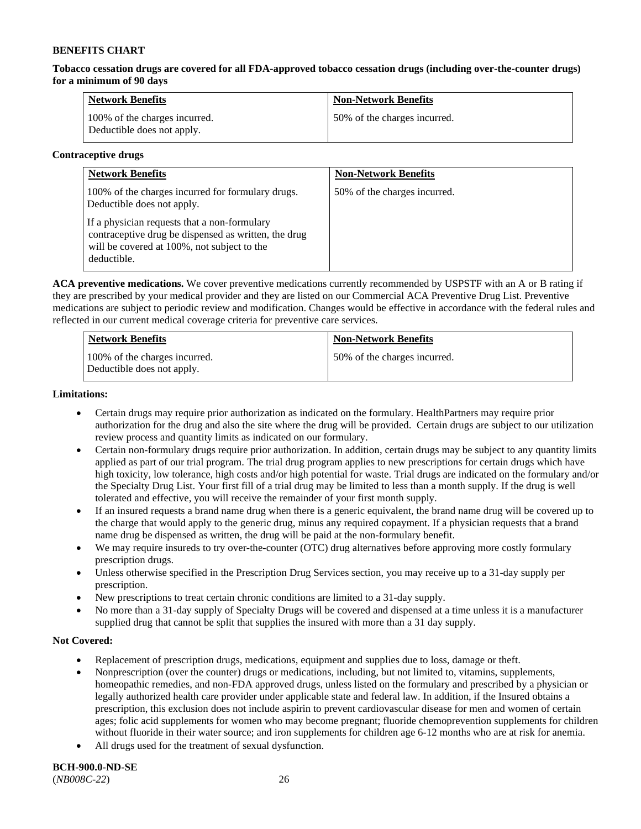**Tobacco cessation drugs are covered for all FDA-approved tobacco cessation drugs (including over-the-counter drugs) for a minimum of 90 days**

| <b>Network Benefits</b>                                     | <b>Non-Network Benefits</b>  |
|-------------------------------------------------------------|------------------------------|
| 100% of the charges incurred.<br>Deductible does not apply. | 50% of the charges incurred. |

#### **Contraceptive drugs**

| <b>Network Benefits</b>                                                                                                                                            | <b>Non-Network Benefits</b>  |
|--------------------------------------------------------------------------------------------------------------------------------------------------------------------|------------------------------|
| 100% of the charges incurred for formulary drugs.<br>Deductible does not apply.                                                                                    | 50% of the charges incurred. |
| If a physician requests that a non-formulary<br>contraceptive drug be dispensed as written, the drug<br>will be covered at 100%, not subject to the<br>deductible. |                              |

**ACA preventive medications.** We cover preventive medications currently recommended by USPSTF with an A or B rating if they are prescribed by your medical provider and they are listed on our Commercial ACA Preventive Drug List. Preventive medications are subject to periodic review and modification. Changes would be effective in accordance with the federal rules and reflected in our current medical coverage criteria for preventive care services.

| <b>Network Benefits</b>                                     | <b>Non-Network Benefits</b>  |
|-------------------------------------------------------------|------------------------------|
| 100% of the charges incurred.<br>Deductible does not apply. | 50% of the charges incurred. |

#### **Limitations:**

- Certain drugs may require prior authorization as indicated on the formulary. HealthPartners may require prior authorization for the drug and also the site where the drug will be provided. Certain drugs are subject to our utilization review process and quantity limits as indicated on our formulary.
- Certain non-formulary drugs require prior authorization. In addition, certain drugs may be subject to any quantity limits applied as part of our trial program. The trial drug program applies to new prescriptions for certain drugs which have high toxicity, low tolerance, high costs and/or high potential for waste. Trial drugs are indicated on the formulary and/or the Specialty Drug List. Your first fill of a trial drug may be limited to less than a month supply. If the drug is well tolerated and effective, you will receive the remainder of your first month supply.
- If an insured requests a brand name drug when there is a generic equivalent, the brand name drug will be covered up to the charge that would apply to the generic drug, minus any required copayment. If a physician requests that a brand name drug be dispensed as written, the drug will be paid at the non-formulary benefit.
- We may require insureds to try over-the-counter (OTC) drug alternatives before approving more costly formulary prescription drugs.
- Unless otherwise specified in the Prescription Drug Services section, you may receive up to a 31-day supply per prescription.
- New prescriptions to treat certain chronic conditions are limited to a 31-day supply.
- No more than a 31-day supply of Specialty Drugs will be covered and dispensed at a time unless it is a manufacturer supplied drug that cannot be split that supplies the insured with more than a 31 day supply.

### **Not Covered:**

- Replacement of prescription drugs, medications, equipment and supplies due to loss, damage or theft.
- Nonprescription (over the counter) drugs or medications, including, but not limited to, vitamins, supplements, homeopathic remedies, and non-FDA approved drugs, unless listed on the formulary and prescribed by a physician or legally authorized health care provider under applicable state and federal law. In addition, if the Insured obtains a prescription, this exclusion does not include aspirin to prevent cardiovascular disease for men and women of certain ages; folic acid supplements for women who may become pregnant; fluoride chemoprevention supplements for children without fluoride in their water source; and iron supplements for children age 6-12 months who are at risk for anemia.
- All drugs used for the treatment of sexual dysfunction.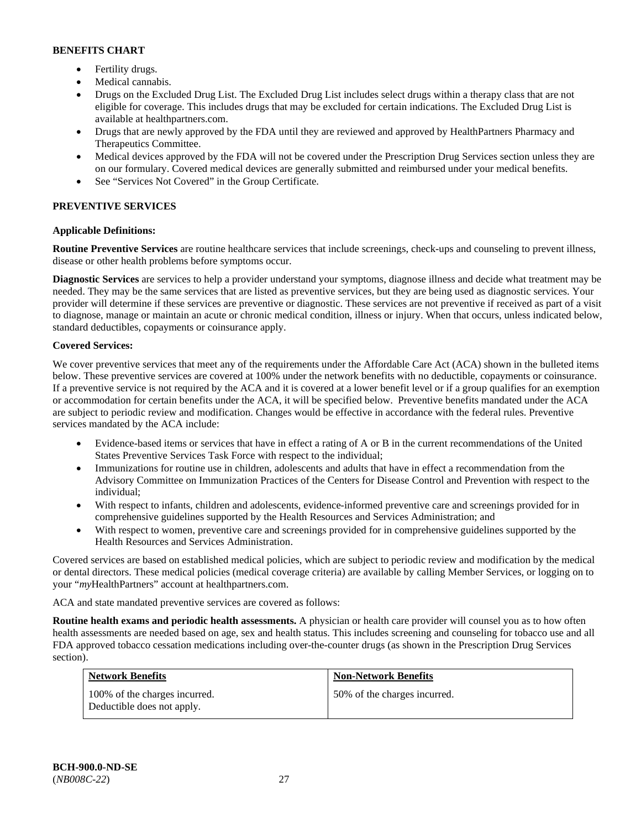- Fertility drugs.
- Medical cannabis.
- Drugs on the Excluded Drug List. The Excluded Drug List includes select drugs within a therapy class that are not eligible for coverage. This includes drugs that may be excluded for certain indications. The Excluded Drug List is available at [healthpartners.com.](http://www.healthpartners.com/)
- Drugs that are newly approved by the FDA until they are reviewed and approved by HealthPartners Pharmacy and Therapeutics Committee.
- Medical devices approved by the FDA will not be covered under the Prescription Drug Services section unless they are on our formulary. Covered medical devices are generally submitted and reimbursed under your medical benefits.
- See "Services Not Covered" in the Group Certificate.

# **PREVENTIVE SERVICES**

# **Applicable Definitions:**

**Routine Preventive Services** are routine healthcare services that include screenings, check-ups and counseling to prevent illness, disease or other health problems before symptoms occur.

**Diagnostic Services** are services to help a provider understand your symptoms, diagnose illness and decide what treatment may be needed. They may be the same services that are listed as preventive services, but they are being used as diagnostic services. Your provider will determine if these services are preventive or diagnostic. These services are not preventive if received as part of a visit to diagnose, manage or maintain an acute or chronic medical condition, illness or injury. When that occurs, unless indicated below, standard deductibles, copayments or coinsurance apply.

### **Covered Services:**

We cover preventive services that meet any of the requirements under the Affordable Care Act (ACA) shown in the bulleted items below. These preventive services are covered at 100% under the network benefits with no deductible, copayments or coinsurance. If a preventive service is not required by the ACA and it is covered at a lower benefit level or if a group qualifies for an exemption or accommodation for certain benefits under the ACA, it will be specified below. Preventive benefits mandated under the ACA are subject to periodic review and modification. Changes would be effective in accordance with the federal rules. Preventive services mandated by the ACA include:

- Evidence-based items or services that have in effect a rating of A or B in the current recommendations of the United States Preventive Services Task Force with respect to the individual;
- Immunizations for routine use in children, adolescents and adults that have in effect a recommendation from the Advisory Committee on Immunization Practices of the Centers for Disease Control and Prevention with respect to the individual;
- With respect to infants, children and adolescents, evidence-informed preventive care and screenings provided for in comprehensive guidelines supported by the Health Resources and Services Administration; and
- With respect to women, preventive care and screenings provided for in comprehensive guidelines supported by the Health Resources and Services Administration.

Covered services are based on established medical policies, which are subject to periodic review and modification by the medical or dental directors. These medical policies (medical coverage criteria) are available by calling Member Services, or logging on to your "*my*HealthPartners" account at [healthpartners.com.](http://www.healthpartners.com/) 

ACA and state mandated preventive services are covered as follows:

**Routine health exams and periodic health assessments.** A physician or health care provider will counsel you as to how often health assessments are needed based on age, sex and health status. This includes screening and counseling for tobacco use and all FDA approved tobacco cessation medications including over-the-counter drugs (as shown in the Prescription Drug Services section).

| <b>Network Benefits</b>                                     | <b>Non-Network Benefits</b>  |
|-------------------------------------------------------------|------------------------------|
| 100% of the charges incurred.<br>Deductible does not apply. | 50% of the charges incurred. |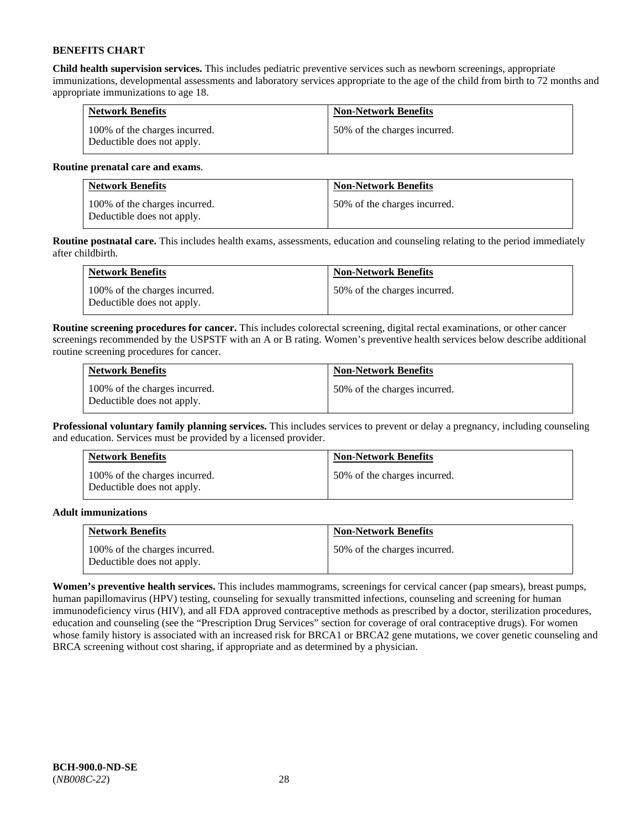**Child health supervision services.** This includes pediatric preventive services such as newborn screenings, appropriate immunizations, developmental assessments and laboratory services appropriate to the age of the child from birth to 72 months and appropriate immunizations to age 18.

| <b>Network Benefits</b>                                     | <b>Non-Network Benefits</b>  |
|-------------------------------------------------------------|------------------------------|
| 100% of the charges incurred.<br>Deductible does not apply. | 50% of the charges incurred. |

#### **Routine prenatal care and exams**.

| <b>Network Benefits</b>                                     | <b>Non-Network Benefits</b>  |
|-------------------------------------------------------------|------------------------------|
| 100% of the charges incurred.<br>Deductible does not apply. | 50% of the charges incurred. |

**Routine postnatal care.** This includes health exams, assessments, education and counseling relating to the period immediately after childbirth.

| <b>Network Benefits</b>                                     | <b>Non-Network Benefits</b>  |
|-------------------------------------------------------------|------------------------------|
| 100% of the charges incurred.<br>Deductible does not apply. | 50% of the charges incurred. |

**Routine screening procedures for cancer.** This includes colorectal screening, digital rectal examinations, or other cancer screenings recommended by the USPSTF with an A or B rating. Women's preventive health services below describe additional routine screening procedures for cancer.

| <b>Network Benefits</b>                                     | <b>Non-Network Benefits</b>  |
|-------------------------------------------------------------|------------------------------|
| 100% of the charges incurred.<br>Deductible does not apply. | 50% of the charges incurred. |

**Professional voluntary family planning services.** This includes services to prevent or delay a pregnancy, including counseling and education. Services must be provided by a licensed provider.

| <b>Network Benefits</b>                                     | <b>Non-Network Benefits</b>  |
|-------------------------------------------------------------|------------------------------|
| 100% of the charges incurred.<br>Deductible does not apply. | 50% of the charges incurred. |

### **Adult immunizations**

| <b>Network Benefits</b>                                     | <b>Non-Network Benefits</b>  |
|-------------------------------------------------------------|------------------------------|
| 100% of the charges incurred.<br>Deductible does not apply. | 50% of the charges incurred. |

**Women's preventive health services.** This includes mammograms, screenings for cervical cancer (pap smears), breast pumps, human papillomavirus (HPV) testing, counseling for sexually transmitted infections, counseling and screening for human immunodeficiency virus (HIV), and all FDA approved contraceptive methods as prescribed by a doctor, sterilization procedures, education and counseling (see the "Prescription Drug Services" section for coverage of oral contraceptive drugs). For women whose family history is associated with an increased risk for BRCA1 or BRCA2 gene mutations, we cover genetic counseling and BRCA screening without cost sharing, if appropriate and as determined by a physician.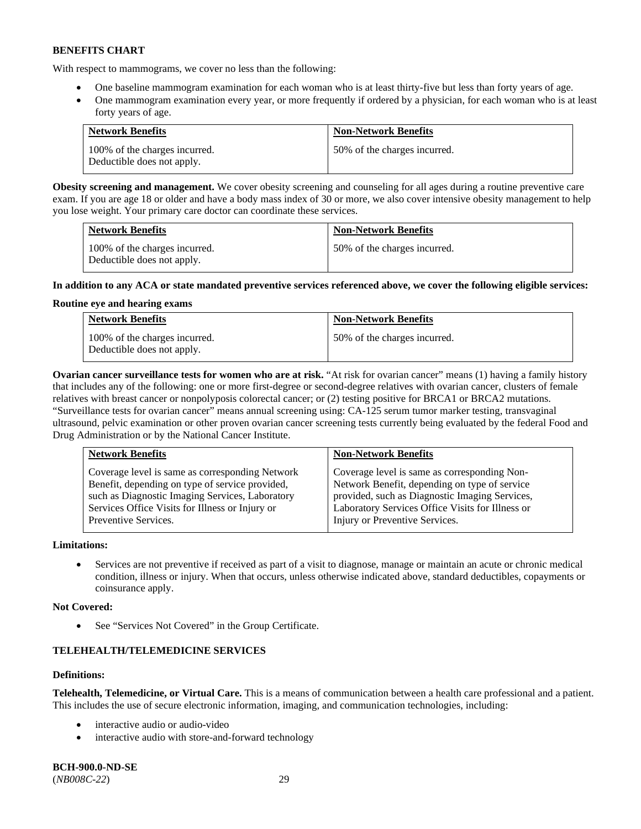With respect to mammograms, we cover no less than the following:

- One baseline mammogram examination for each woman who is at least thirty-five but less than forty years of age.
- One mammogram examination every year, or more frequently if ordered by a physician, for each woman who is at least forty years of age.

| <b>Network Benefits</b>                                     | <b>Non-Network Benefits</b>  |
|-------------------------------------------------------------|------------------------------|
| 100% of the charges incurred.<br>Deductible does not apply. | 50% of the charges incurred. |

**Obesity screening and management.** We cover obesity screening and counseling for all ages during a routine preventive care exam. If you are age 18 or older and have a body mass index of 30 or more, we also cover intensive obesity management to help you lose weight. Your primary care doctor can coordinate these services.

| <b>Network Benefits</b>                                     | <b>Non-Network Benefits</b>  |
|-------------------------------------------------------------|------------------------------|
| 100% of the charges incurred.<br>Deductible does not apply. | 50% of the charges incurred. |

### **In addition to any ACA or state mandated preventive services referenced above, we cover the following eligible services:**

### **Routine eye and hearing exams**

| <b>Network Benefits</b>                                     | <b>Non-Network Benefits</b>  |
|-------------------------------------------------------------|------------------------------|
| 100% of the charges incurred.<br>Deductible does not apply. | 50% of the charges incurred. |

**Ovarian cancer surveillance tests for women who are at risk.** "At risk for ovarian cancer" means (1) having a family history that includes any of the following: one or more first-degree or second-degree relatives with ovarian cancer, clusters of female relatives with breast cancer or nonpolyposis colorectal cancer; or (2) testing positive for BRCA1 or BRCA2 mutations. "Surveillance tests for ovarian cancer" means annual screening using: CA-125 serum tumor marker testing, transvaginal ultrasound, pelvic examination or other proven ovarian cancer screening tests currently being evaluated by the federal Food and Drug Administration or by the National Cancer Institute.

| <b>Network Benefits</b>                         | <b>Non-Network Benefits</b>                      |
|-------------------------------------------------|--------------------------------------------------|
| Coverage level is same as corresponding Network | Coverage level is same as corresponding Non-     |
| Benefit, depending on type of service provided, | Network Benefit, depending on type of service    |
| such as Diagnostic Imaging Services, Laboratory | provided, such as Diagnostic Imaging Services,   |
| Services Office Visits for Illness or Injury or | Laboratory Services Office Visits for Illness or |
| Preventive Services.                            | Injury or Preventive Services.                   |

### **Limitations:**

• Services are not preventive if received as part of a visit to diagnose, manage or maintain an acute or chronic medical condition, illness or injury. When that occurs, unless otherwise indicated above, standard deductibles, copayments or coinsurance apply.

### **Not Covered:**

See "Services Not Covered" in the Group Certificate.

# **TELEHEALTH/TELEMEDICINE SERVICES**

### **Definitions:**

**Telehealth, Telemedicine, or Virtual Care.** This is a means of communication between a health care professional and a patient. This includes the use of secure electronic information, imaging, and communication technologies, including:

- interactive audio or audio-video
- interactive audio with store-and-forward technology

**BCH-900.0-ND-SE** (*NB008C-22*) 29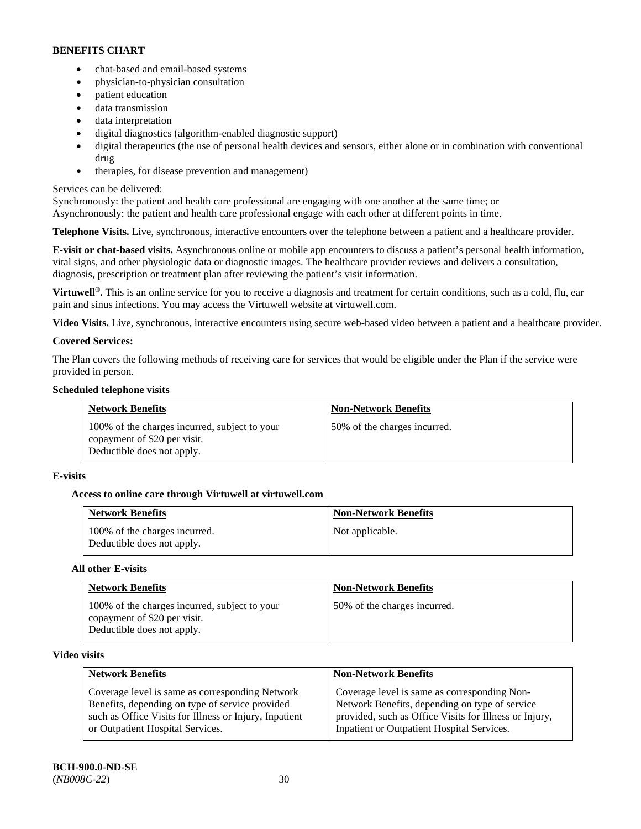- chat-based and email-based systems
- physician-to-physician consultation
- patient education
- data transmission
- data interpretation
- digital diagnostics (algorithm-enabled diagnostic support)
- digital therapeutics (the use of personal health devices and sensors, either alone or in combination with conventional drug
- therapies, for disease prevention and management)

### Services can be delivered:

Synchronously: the patient and health care professional are engaging with one another at the same time; or Asynchronously: the patient and health care professional engage with each other at different points in time.

**Telephone Visits.** Live, synchronous, interactive encounters over the telephone between a patient and a healthcare provider.

**E-visit or chat-based visits.** Asynchronous online or mobile app encounters to discuss a patient's personal health information, vital signs, and other physiologic data or diagnostic images. The healthcare provider reviews and delivers a consultation, diagnosis, prescription or treatment plan after reviewing the patient's visit information.

**Virtuwell<sup>®</sup>.** This is an online service for you to receive a diagnosis and treatment for certain conditions, such as a cold, flu, ear pain and sinus infections. You may access the Virtuwell website at [virtuwell.com.](https://www.virtuwell.com/)

**Video Visits.** Live, synchronous, interactive encounters using secure web-based video between a patient and a healthcare provider.

### **Covered Services:**

The Plan covers the following methods of receiving care for services that would be eligible under the Plan if the service were provided in person.

### **Scheduled telephone visits**

| <b>Network Benefits</b>                                                                                     | <b>Non-Network Benefits</b>  |
|-------------------------------------------------------------------------------------------------------------|------------------------------|
| 100% of the charges incurred, subject to your<br>copayment of \$20 per visit.<br>Deductible does not apply. | 50% of the charges incurred. |

### **E-visits**

### **Access to online care through Virtuwell at [virtuwell.com](https://www.virtuwell.com/)**

| <b>Network Benefits</b>                                     | <b>Non-Network Benefits</b> |
|-------------------------------------------------------------|-----------------------------|
| 100% of the charges incurred.<br>Deductible does not apply. | Not applicable.             |

### **All other E-visits**

| <b>Network Benefits</b>                                                                                     | <b>Non-Network Benefits</b>  |
|-------------------------------------------------------------------------------------------------------------|------------------------------|
| 100% of the charges incurred, subject to your<br>copayment of \$20 per visit.<br>Deductible does not apply. | 50% of the charges incurred. |

### **Video visits**

| <b>Network Benefits</b>                                | <b>Non-Network Benefits</b>                            |
|--------------------------------------------------------|--------------------------------------------------------|
| Coverage level is same as corresponding Network        | Coverage level is same as corresponding Non-           |
| Benefits, depending on type of service provided        | Network Benefits, depending on type of service         |
| such as Office Visits for Illness or Injury, Inpatient | provided, such as Office Visits for Illness or Injury, |
| or Outpatient Hospital Services.                       | Inpatient or Outpatient Hospital Services.             |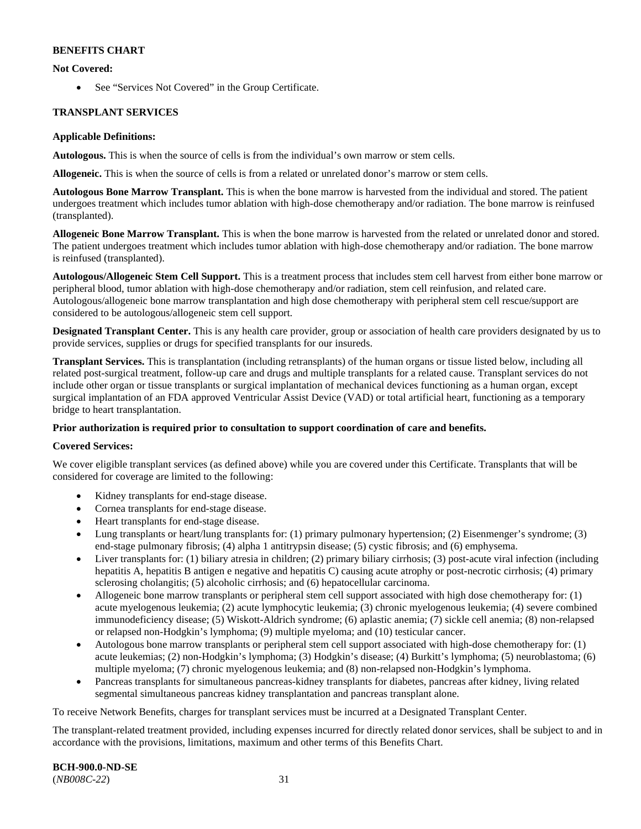### **Not Covered:**

• See "Services Not Covered" in the Group Certificate.

### **TRANSPLANT SERVICES**

#### **Applicable Definitions:**

**Autologous.** This is when the source of cells is from the individual's own marrow or stem cells.

**Allogeneic.** This is when the source of cells is from a related or unrelated donor's marrow or stem cells.

**Autologous Bone Marrow Transplant.** This is when the bone marrow is harvested from the individual and stored. The patient undergoes treatment which includes tumor ablation with high-dose chemotherapy and/or radiation. The bone marrow is reinfused (transplanted).

**Allogeneic Bone Marrow Transplant.** This is when the bone marrow is harvested from the related or unrelated donor and stored. The patient undergoes treatment which includes tumor ablation with high-dose chemotherapy and/or radiation. The bone marrow is reinfused (transplanted).

**Autologous/Allogeneic Stem Cell Support.** This is a treatment process that includes stem cell harvest from either bone marrow or peripheral blood, tumor ablation with high-dose chemotherapy and/or radiation, stem cell reinfusion, and related care. Autologous/allogeneic bone marrow transplantation and high dose chemotherapy with peripheral stem cell rescue/support are considered to be autologous/allogeneic stem cell support.

**Designated Transplant Center.** This is any health care provider, group or association of health care providers designated by us to provide services, supplies or drugs for specified transplants for our insureds.

**Transplant Services.** This is transplantation (including retransplants) of the human organs or tissue listed below, including all related post-surgical treatment, follow-up care and drugs and multiple transplants for a related cause. Transplant services do not include other organ or tissue transplants or surgical implantation of mechanical devices functioning as a human organ, except surgical implantation of an FDA approved Ventricular Assist Device (VAD) or total artificial heart, functioning as a temporary bridge to heart transplantation.

### **Prior authorization is required prior to consultation to support coordination of care and benefits.**

### **Covered Services:**

We cover eligible transplant services (as defined above) while you are covered under this Certificate. Transplants that will be considered for coverage are limited to the following:

- Kidney transplants for end-stage disease.
- Cornea transplants for end-stage disease.
- Heart transplants for end-stage disease.
- Lung transplants or heart/lung transplants for: (1) primary pulmonary hypertension; (2) Eisenmenger's syndrome; (3) end-stage pulmonary fibrosis; (4) alpha 1 antitrypsin disease; (5) cystic fibrosis; and (6) emphysema.
- Liver transplants for: (1) biliary atresia in children; (2) primary biliary cirrhosis; (3) post-acute viral infection (including hepatitis A, hepatitis B antigen e negative and hepatitis C) causing acute atrophy or post-necrotic cirrhosis; (4) primary sclerosing cholangitis; (5) alcoholic cirrhosis; and (6) hepatocellular carcinoma.
- Allogeneic bone marrow transplants or peripheral stem cell support associated with high dose chemotherapy for: (1) acute myelogenous leukemia; (2) acute lymphocytic leukemia; (3) chronic myelogenous leukemia; (4) severe combined immunodeficiency disease; (5) Wiskott-Aldrich syndrome; (6) aplastic anemia; (7) sickle cell anemia; (8) non-relapsed or relapsed non-Hodgkin's lymphoma; (9) multiple myeloma; and (10) testicular cancer.
- Autologous bone marrow transplants or peripheral stem cell support associated with high-dose chemotherapy for: (1) acute leukemias; (2) non-Hodgkin's lymphoma; (3) Hodgkin's disease; (4) Burkitt's lymphoma; (5) neuroblastoma; (6) multiple myeloma; (7) chronic myelogenous leukemia; and (8) non-relapsed non-Hodgkin's lymphoma.
- Pancreas transplants for simultaneous pancreas-kidney transplants for diabetes, pancreas after kidney, living related segmental simultaneous pancreas kidney transplantation and pancreas transplant alone.

To receive Network Benefits, charges for transplant services must be incurred at a Designated Transplant Center.

The transplant-related treatment provided, including expenses incurred for directly related donor services, shall be subject to and in accordance with the provisions, limitations, maximum and other terms of this Benefits Chart.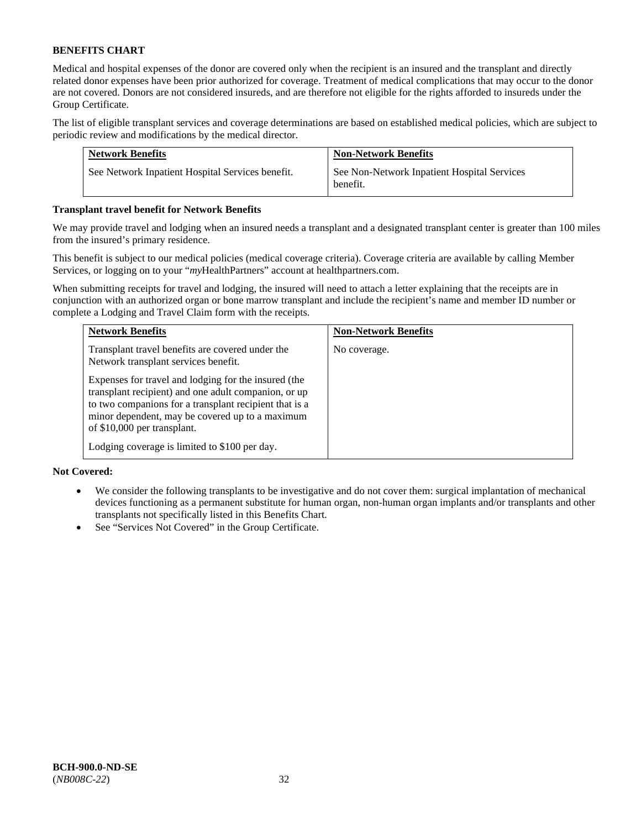Medical and hospital expenses of the donor are covered only when the recipient is an insured and the transplant and directly related donor expenses have been prior authorized for coverage. Treatment of medical complications that may occur to the donor are not covered. Donors are not considered insureds, and are therefore not eligible for the rights afforded to insureds under the Group Certificate.

The list of eligible transplant services and coverage determinations are based on established medical policies, which are subject to periodic review and modifications by the medical director.

| <b>Network Benefits</b>                          | <b>Non-Network Benefits</b>                             |
|--------------------------------------------------|---------------------------------------------------------|
| See Network Inpatient Hospital Services benefit. | See Non-Network Inpatient Hospital Services<br>benefit. |

#### **Transplant travel benefit for Network Benefits**

We may provide travel and lodging when an insured needs a transplant and a designated transplant center is greater than 100 miles from the insured's primary residence.

This benefit is subject to our medical policies (medical coverage criteria). Coverage criteria are available by calling Member Services, or logging on to your "*my*HealthPartners" account a[t healthpartners.com.](http://healthpartners.com/)

When submitting receipts for travel and lodging, the insured will need to attach a letter explaining that the receipts are in conjunction with an authorized organ or bone marrow transplant and include the recipient's name and member ID number or complete a Lodging and Travel Claim form with the receipts.

| <b>Network Benefits</b>                                                                                                                                                                                                                                  | <b>Non-Network Benefits</b> |
|----------------------------------------------------------------------------------------------------------------------------------------------------------------------------------------------------------------------------------------------------------|-----------------------------|
| Transplant travel benefits are covered under the<br>Network transplant services benefit.                                                                                                                                                                 | No coverage.                |
| Expenses for travel and lodging for the insured (the<br>transplant recipient) and one adult companion, or up<br>to two companions for a transplant recipient that is a<br>minor dependent, may be covered up to a maximum<br>of \$10,000 per transplant. |                             |
| Lodging coverage is limited to \$100 per day.                                                                                                                                                                                                            |                             |

### **Not Covered:**

- We consider the following transplants to be investigative and do not cover them: surgical implantation of mechanical devices functioning as a permanent substitute for human organ, non-human organ implants and/or transplants and other transplants not specifically listed in this Benefits Chart.
- See "Services Not Covered" in the Group Certificate.